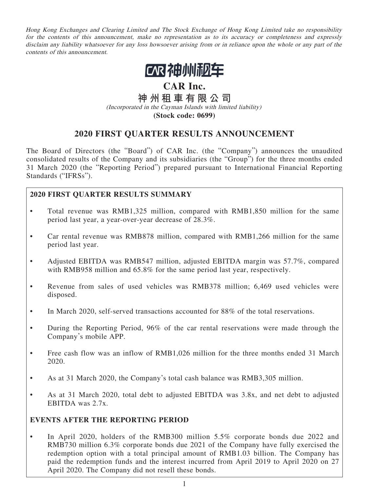Hong Kong Exchanges and Clearing Limited and The Stock Exchange of Hong Kong Limited take no responsibility for the contents of this announcement, make no representation as to its accuracy or completeness and expressly disclaim any liability whatsoever for any loss howsoever arising from or in reliance upon the whole or any part of the contents of this announcement.



# **CAR Inc.**

**神州租車有限公司**

(Incorporated in the Cayman Islands with limited liability) **(Stock code: 0699)**

# **2020 FIRST QUARTER RESULTS ANNOUNCEMENT**

The Board of Directors (the "Board") of CAR Inc. (the "Company") announces the unaudited consolidated results of the Company and its subsidiaries (the "Group") for the three months ended 31 March 2020 (the "Reporting Period") prepared pursuant to International Financial Reporting Standards ("IFRSs").

# **2020 FIRST QUARTER RESULTS SUMMARY**

- Total revenue was RMB1,325 million, compared with RMB1,850 million for the same period last year, a year-over-year decrease of 28.3%.
- Car rental revenue was RMB878 million, compared with RMB1,266 million for the same period last year.
- Adjusted EBITDA was RMB547 million, adjusted EBITDA margin was 57.7%, compared with RMB958 million and 65.8% for the same period last year, respectively.
- Revenue from sales of used vehicles was RMB378 million; 6,469 used vehicles were disposed.
- In March 2020, self-served transactions accounted for 88% of the total reservations.
- During the Reporting Period, 96% of the car rental reservations were made through the Company's mobile APP.
- Free cash flow was an inflow of RMB1,026 million for the three months ended 31 March 2020.
- As at 31 March 2020, the Company's total cash balance was RMB3,305 million.
- As at 31 March 2020, total debt to adjusted EBITDA was 3.8x, and net debt to adjusted EBITDA was 2.7x.

## **EVENTS AFTER THE REPORTING PERIOD**

• In April 2020, holders of the RMB300 million 5.5% corporate bonds due 2022 and RMB730 million 6.3% corporate bonds due 2021 of the Company have fully exercised the redemption option with a total principal amount of RMB1.03 billion. The Company has paid the redemption funds and the interest incurred from April 2019 to April 2020 on 27 April 2020. The Company did not resell these bonds.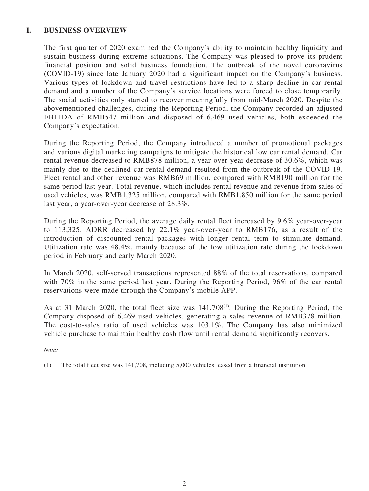## **I. BUSINESS OVERVIEW**

The first quarter of 2020 examined the Company's ability to maintain healthy liquidity and sustain business during extreme situations. The Company was pleased to prove its prudent financial position and solid business foundation. The outbreak of the novel coronavirus (COVID-19) since late January 2020 had a significant impact on the Company's business. Various types of lockdown and travel restrictions have led to a sharp decline in car rental demand and a number of the Company's service locations were forced to close temporarily. The social activities only started to recover meaningfully from mid-March 2020. Despite the abovementioned challenges, during the Reporting Period, the Company recorded an adjusted EBITDA of RMB547 million and disposed of 6,469 used vehicles, both exceeded the Company's expectation.

During the Reporting Period, the Company introduced a number of promotional packages and various digital marketing campaigns to mitigate the historical low car rental demand. Car rental revenue decreased to RMB878 million, a year-over-year decrease of 30.6%, which was mainly due to the declined car rental demand resulted from the outbreak of the COVID-19. Fleet rental and other revenue was RMB69 million, compared with RMB190 million for the same period last year. Total revenue, which includes rental revenue and revenue from sales of used vehicles, was RMB1,325 million, compared with RMB1,850 million for the same period last year, a year-over-year decrease of 28.3%.

During the Reporting Period, the average daily rental fleet increased by 9.6% year-over-year to 113,325. ADRR decreased by 22.1% year-over-year to RMB176, as a result of the introduction of discounted rental packages with longer rental term to stimulate demand. Utilization rate was 48.4%, mainly because of the low utilization rate during the lockdown period in February and early March 2020.

In March 2020, self-served transactions represented 88% of the total reservations, compared with 70% in the same period last year. During the Reporting Period, 96% of the car rental reservations were made through the Company's mobile APP.

As at 31 March 2020, the total fleet size was 141,708<sup>(1)</sup>. During the Reporting Period, the Company disposed of 6,469 used vehicles, generating a sales revenue of RMB378 million. The cost-to-sales ratio of used vehicles was 103.1%. The Company has also minimized vehicle purchase to maintain healthy cash flow until rental demand significantly recovers.

Note:

<sup>(1)</sup> The total fleet size was 141,708, including 5,000 vehicles leased from a financial institution.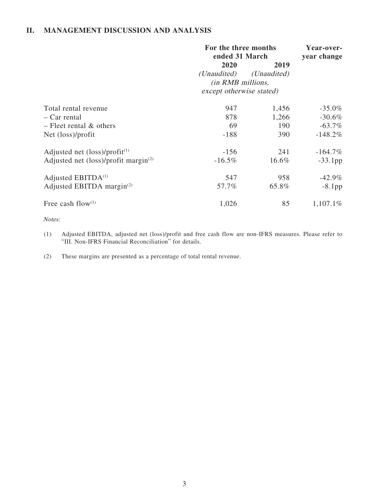## **II. MANAGEMENT DISCUSSION AND ANALYSIS**

|                                                            | For the three months<br>ended 31 March | Year-over-<br>year change |            |
|------------------------------------------------------------|----------------------------------------|---------------------------|------------|
|                                                            | 2020                                   | 2019                      |            |
|                                                            | ( <i>Unaudited</i> )                   | (Unaudited)               |            |
|                                                            | (in RMB millions,                      |                           |            |
|                                                            | except otherwise stated)               |                           |            |
| Total rental revenue                                       | 947                                    | 1,456                     | $-35.0\%$  |
| - Car rental                                               | 878                                    | 1,266                     | $-30.6\%$  |
| $-$ Fleet rental $\&$ others                               | 69                                     | 190                       | $-63.7\%$  |
| Net (loss)/profit                                          | $-188$                                 | 390                       | $-148.2%$  |
| Adjusted net $(\text{loss})/profit^{(1)}$                  | $-156$                                 | 241                       | $-164.7\%$ |
| Adjusted net $(\text{loss})$ /profit margin <sup>(2)</sup> | $-16.5\%$                              | 16.6%                     | $-33.1$ pp |
| Adjusted $EBITDA(1)$                                       | 547                                    | 958                       | $-42.9\%$  |
| Adjusted EBITDA margin $^{(2)}$                            | 57.7%                                  | 65.8%                     | $-8.1$ pp  |
| Free cash flow(1)                                          | 1,026                                  | 85                        | 1,107.1%   |

Notes:

- (1) Adjusted EBITDA, adjusted net (loss)/profit and free cash flow are non-IFRS measures. Please refer to "III. Non-IFRS Financial Reconciliation" for details.
- (2) These margins are presented as a percentage of total rental revenue.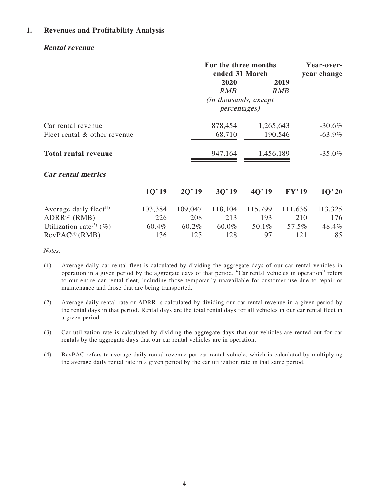## **1. Revenues and Profitability Analysis**

## **Rental revenue**

|                                                    |         | For the three months<br>ended 31 March |                                                |           |                    | Year-over-<br>year change |
|----------------------------------------------------|---------|----------------------------------------|------------------------------------------------|-----------|--------------------|---------------------------|
|                                                    |         |                                        | 2020<br><b>RMB</b>                             |           | 2019<br><i>RMB</i> |                           |
|                                                    |         |                                        | (in thousands, except)<br><i>percentages</i> ) |           |                    |                           |
| Car rental revenue<br>Fleet rental & other revenue |         |                                        | 878,454<br>68,710                              | 1,265,643 | 190,546            | $-30.6\%$<br>$-63.9\%$    |
| <b>Total rental revenue</b>                        |         |                                        | 947,164                                        | 1,456,189 |                    | $-35.0\%$                 |
| <b>Car rental metrics</b>                          |         |                                        |                                                |           |                    |                           |
|                                                    | 10'19   | 2Q'19                                  | 3Q'19                                          | 4Q'19     | FY'19              | 1Q'20                     |
| Average daily fleet $(1)$                          | 103,384 | 109,047                                | 118,104                                        | 115,799   | 111,636            | 113,325                   |
| ADRR <sup>(2)</sup> (RMB)                          | 226     | 208                                    | 213                                            | 193       | 210                | 176                       |
| Utilization rate <sup>(3)</sup> (%)                | 60.4%   | 60.2%                                  | 60.0%                                          | 50.1%     | 57.5%              | 48.4%                     |
| RevPAC <sup>(4)</sup> (RMB)                        | 136     | 125                                    | 128                                            | 97        | 121                | 85                        |

Notes:

- (1) Average daily car rental fleet is calculated by dividing the aggregate days of our car rental vehicles in operation in a given period by the aggregate days of that period. "Car rental vehicles in operation" refers to our entire car rental fleet, including those temporarily unavailable for customer use due to repair or maintenance and those that are being transported.
- (2) Average daily rental rate or ADRR is calculated by dividing our car rental revenue in a given period by the rental days in that period. Rental days are the total rental days for all vehicles in our car rental fleet in a given period.
- (3) Car utilization rate is calculated by dividing the aggregate days that our vehicles are rented out for car rentals by the aggregate days that our car rental vehicles are in operation.
- (4) RevPAC refers to average daily rental revenue per car rental vehicle, which is calculated by multiplying the average daily rental rate in a given period by the car utilization rate in that same period.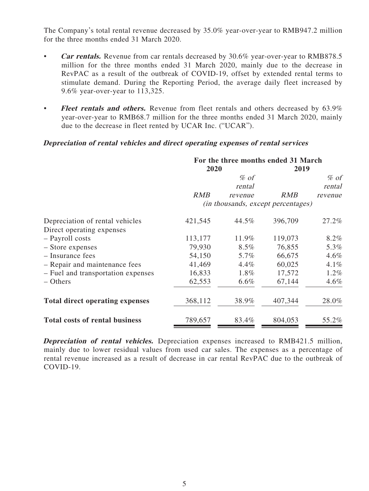The Company's total rental revenue decreased by 35.0% year-over-year to RMB947.2 million for the three months ended 31 March 2020.

- **Car rentals.** Revenue from car rentals decreased by 30.6% year-over-year to RMB878.5 million for the three months ended 31 March 2020, mainly due to the decrease in RevPAC as a result of the outbreak of COVID-19, offset by extended rental terms to stimulate demand. During the Reporting Period, the average daily fleet increased by 9.6% year-over-year to 113,325.
- **Fleet rentals and others.** Revenue from fleet rentals and others decreased by 63.9% year-over-year to RMB68.7 million for the three months ended 31 March 2020, mainly due to the decrease in fleet rented by UCAR Inc. ("UCAR").

## **Depreciation of rental vehicles and direct operating expenses of rental services**

|                                        | For the three months ended 31 March |         |                                    |         |
|----------------------------------------|-------------------------------------|---------|------------------------------------|---------|
|                                        | 2020                                |         | 2019                               |         |
|                                        |                                     | $%$ of  |                                    | $%$ of  |
|                                        |                                     | rental  |                                    | rental  |
|                                        | <i>RMB</i>                          | revenue | <b>RMB</b>                         | revenue |
|                                        |                                     |         | (in thousands, except percentages) |         |
| Depreciation of rental vehicles        | 421,545                             | 44.5%   | 396,709                            | 27.2%   |
| Direct operating expenses              |                                     |         |                                    |         |
| - Payroll costs                        | 113,177                             | 11.9%   | 119,073                            | 8.2%    |
| - Store expenses                       | 79,930                              | $8.5\%$ | 76,855                             | 5.3%    |
| - Insurance fees                       | 54,150                              | 5.7%    | 66,675                             | $4.6\%$ |
| - Repair and maintenance fees          | 41,469                              | $4.4\%$ | 60,025                             | $4.1\%$ |
| - Fuel and transportation expenses     | 16,833                              | 1.8%    | 17,572                             | $1.2\%$ |
| – Others                               | 62,553                              | 6.6%    | 67,144                             | $4.6\%$ |
| <b>Total direct operating expenses</b> | 368,112                             | 38.9%   | 407,344                            | 28.0%   |
| <b>Total costs of rental business</b>  | 789,657                             | 83.4%   | 804,053                            | 55.2%   |

**Depreciation of rental vehicles.** Depreciation expenses increased to RMB421.5 million, mainly due to lower residual values from used car sales. The expenses as a percentage of rental revenue increased as a result of decrease in car rental RevPAC due to the outbreak of COVID-19.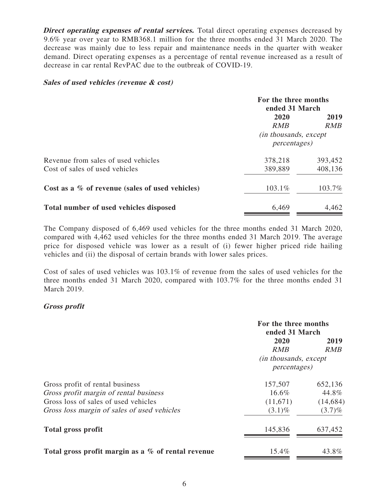**Direct operating expenses of rental services.** Total direct operating expenses decreased by 9.6% year over year to RMB368.1 million for the three months ended 31 March 2020. The decrease was mainly due to less repair and maintenance needs in the quarter with weaker demand. Direct operating expenses as a percentage of rental revenue increased as a result of decrease in car rental RevPAC due to the outbreak of COVID-19.

## **Sales of used vehicles (revenue & cost)**

|                                                 | For the three months<br>ended 31 March |            |  |
|-------------------------------------------------|----------------------------------------|------------|--|
|                                                 | 2020<br>2019                           |            |  |
|                                                 | RMB                                    | <b>RMB</b> |  |
|                                                 | (in thousands, except)                 |            |  |
|                                                 | <i>percentages</i> )                   |            |  |
| Revenue from sales of used vehicles             | 378,218                                | 393,452    |  |
| Cost of sales of used vehicles                  | 389,889                                | 408,136    |  |
| Cost as a % of revenue (sales of used vehicles) | 103.1%                                 | 103.7%     |  |
| Total number of used vehicles disposed          | 6,469                                  | 4,462      |  |

The Company disposed of 6,469 used vehicles for the three months ended 31 March 2020, compared with 4,462 used vehicles for the three months ended 31 March 2019. The average price for disposed vehicle was lower as a result of (i) fewer higher priced ride hailing vehicles and (ii) the disposal of certain brands with lower sales prices.

Cost of sales of used vehicles was 103.1% of revenue from the sales of used vehicles for the three months ended 31 March 2020, compared with 103.7% for the three months ended 31 March 2019.

## **Gross profit**

|                                                    | For the three months<br>ended 31 March |           |  |
|----------------------------------------------------|----------------------------------------|-----------|--|
|                                                    | 2020<br>2019                           |           |  |
|                                                    | RMB                                    | RMB       |  |
|                                                    | <i>(in thousands, except)</i>          |           |  |
|                                                    | <i>percentages</i> )                   |           |  |
| Gross profit of rental business                    | 157,507                                | 652,136   |  |
| Gross profit margin of rental business             | $16.6\%$                               | 44.8%     |  |
| Gross loss of sales of used vehicles               | (11,671)                               | (14, 684) |  |
| Gross loss margin of sales of used vehicles        | $(3.1)\%$                              | $(3.7)\%$ |  |
| Total gross profit                                 | 145,836                                | 637,452   |  |
| Total gross profit margin as a % of rental revenue | 15.4%                                  | 43.8%     |  |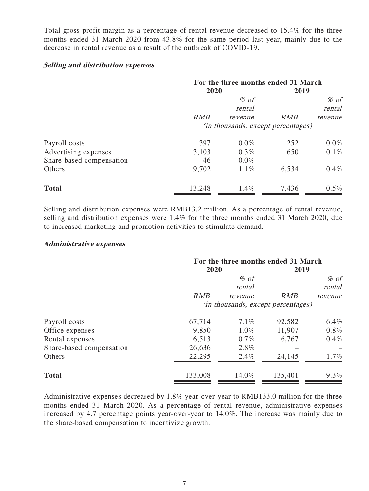Total gross profit margin as a percentage of rental revenue decreased to 15.4% for the three months ended 31 March 2020 from 43.8% for the same period last year, mainly due to the decrease in rental revenue as a result of the outbreak of COVID-19.

## **Selling and distribution expenses**

|                          | For the three months ended 31 March |         |            |         |
|--------------------------|-------------------------------------|---------|------------|---------|
|                          | 2020                                |         | 2019       |         |
|                          |                                     | $\%$ of |            | $%$ of  |
|                          |                                     | rental  |            | rental  |
|                          | RMB                                 | revenue | <b>RMB</b> | revenue |
|                          | (in thousands, except percentages)  |         |            |         |
| Payroll costs            | 397                                 | $0.0\%$ | 252        | $0.0\%$ |
| Advertising expenses     | 3,103                               | 0.3%    | 650        | $0.1\%$ |
| Share-based compensation | 46                                  | $0.0\%$ |            |         |
| Others                   | 9,702                               | $1.1\%$ | 6,534      | $0.4\%$ |
| <b>Total</b>             | 13,248                              | $1.4\%$ | 7,436      | $0.5\%$ |

Selling and distribution expenses were RMB13.2 million. As a percentage of rental revenue, selling and distribution expenses were 1.4% for the three months ended 31 March 2020, due to increased marketing and promotion activities to stimulate demand.

## **Administrative expenses**

|                          | For the three months ended 31 March<br>2020<br>2019 |         |            |         |
|--------------------------|-----------------------------------------------------|---------|------------|---------|
|                          |                                                     | $%$ of  |            | $%$ of  |
|                          |                                                     | rental  |            | rental  |
|                          | RMB                                                 | revenue | <b>RMB</b> | revenue |
|                          | (in thousands, except percentages)                  |         |            |         |
| Payroll costs            | 67,714                                              | $7.1\%$ | 92,582     | $6.4\%$ |
| Office expenses          | 9,850                                               | $1.0\%$ | 11,907     | $0.8\%$ |
| Rental expenses          | 6,513                                               | 0.7%    | 6,767      | $0.4\%$ |
| Share-based compensation | 26,636                                              | 2.8%    |            |         |
| Others                   | 22,295                                              | 2.4%    | 24,145     | $1.7\%$ |
| <b>Total</b>             | 133,008                                             | 14.0%   | 135,401    | $9.3\%$ |

Administrative expenses decreased by 1.8% year-over-year to RMB133.0 million for the three months ended 31 March 2020. As a percentage of rental revenue, administrative expenses increased by 4.7 percentage points year-over-year to 14.0%. The increase was mainly due to the share-based compensation to incentivize growth.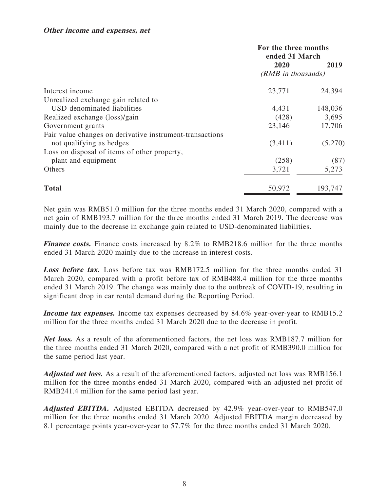|                                                          | For the three months<br>ended 31 March |         |
|----------------------------------------------------------|----------------------------------------|---------|
|                                                          | 2020                                   | 2019    |
|                                                          | (RMB in thousands)                     |         |
| Interest income                                          | 23,771                                 | 24,394  |
| Unrealized exchange gain related to                      |                                        |         |
| USD-denominated liabilities                              | 4,431                                  | 148,036 |
| Realized exchange (loss)/gain                            | (428)                                  | 3,695   |
| Government grants                                        | 23,146                                 | 17,706  |
| Fair value changes on derivative instrument-transactions |                                        |         |
| not qualifying as hedges                                 | (3,411)                                | (5,270) |
| Loss on disposal of items of other property,             |                                        |         |
| plant and equipment                                      | (258)                                  | (87)    |
| Others                                                   | 3,721                                  | 5,273   |
| <b>Total</b>                                             | 50,972                                 | 193,747 |

Net gain was RMB51.0 million for the three months ended 31 March 2020, compared with a net gain of RMB193.7 million for the three months ended 31 March 2019. The decrease was mainly due to the decrease in exchange gain related to USD-denominated liabilities.

Finance costs. Finance costs increased by 8.2% to RMB218.6 million for the three months ended 31 March 2020 mainly due to the increase in interest costs.

**Loss before tax.** Loss before tax was RMB172.5 million for the three months ended 31 March 2020, compared with a profit before tax of RMB488.4 million for the three months ended 31 March 2019. The change was mainly due to the outbreak of COVID-19, resulting in significant drop in car rental demand during the Reporting Period.

**Income tax expenses.** Income tax expenses decreased by 84.6% year-over-year to RMB15.2 million for the three months ended 31 March 2020 due to the decrease in profit.

**Net loss.** As a result of the aforementioned factors, the net loss was RMB187.7 million for the three months ended 31 March 2020, compared with a net profit of RMB390.0 million for the same period last year.

**Adjusted net loss.** As a result of the aforementioned factors, adjusted net loss was RMB156.1 million for the three months ended 31 March 2020, compared with an adjusted net profit of RMB241.4 million for the same period last year.

**Adjusted EBITDA.** Adjusted EBITDA decreased by 42.9% year-over-year to RMB547.0 million for the three months ended 31 March 2020. Adjusted EBITDA margin decreased by 8.1 percentage points year-over-year to 57.7% for the three months ended 31 March 2020.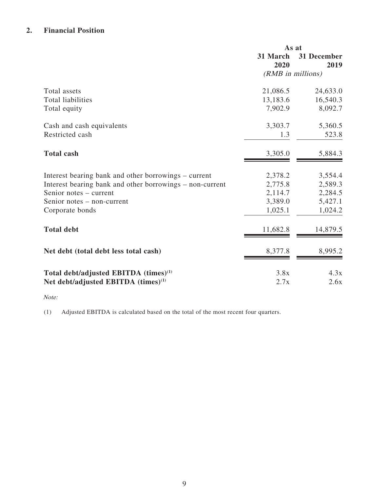# **2. Financial Position**

|                                                          | As at             |                     |
|----------------------------------------------------------|-------------------|---------------------|
|                                                          | 31 March<br>2020  | 31 December<br>2019 |
|                                                          | (RMB in millions) |                     |
| Total assets                                             | 21,086.5          | 24,633.0            |
| <b>Total liabilities</b>                                 | 13,183.6          | 16,540.3            |
| Total equity                                             | 7,902.9           | 8,092.7             |
| Cash and cash equivalents                                | 3,303.7           | 5,360.5             |
| Restricted cash                                          | 1.3               | 523.8               |
| <b>Total cash</b>                                        | 3,305.0           | 5,884.3             |
| Interest bearing bank and other borrowings – current     | 2,378.2           | 3,554.4             |
| Interest bearing bank and other borrowings - non-current | 2,775.8           | 2,589.3             |
| Senior notes – current                                   | 2,114.7           | 2,284.5             |
| Senior notes – non-current                               | 3,389.0           | 5,427.1             |
| Corporate bonds                                          | 1,025.1           | 1,024.2             |
| <b>Total debt</b>                                        | 11,682.8          | 14,879.5            |
| Net debt (total debt less total cash)                    | 8,377.8           | 8,995.2             |
| Total debt/adjusted EBITDA (times) <sup>(1)</sup>        | 3.8x              | 4.3x                |
| Net debt/adjusted EBITDA (times) <sup>(1)</sup>          | 2.7x              | 2.6x                |

## Note:

(1) Adjusted EBITDA is calculated based on the total of the most recent four quarters.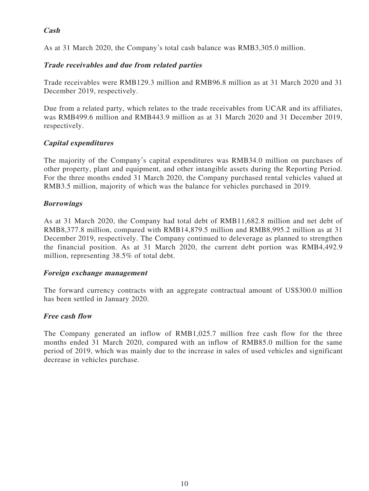# **Cash**

As at 31 March 2020, the Company's total cash balance was RMB3,305.0 million.

# **Trade receivables and due from related parties**

Trade receivables were RMB129.3 million and RMB96.8 million as at 31 March 2020 and 31 December 2019, respectively.

Due from a related party, which relates to the trade receivables from UCAR and its affiliates, was RMB499.6 million and RMB443.9 million as at 31 March 2020 and 31 December 2019, respectively.

# **Capital expenditures**

The majority of the Company's capital expenditures was RMB34.0 million on purchases of other property, plant and equipment, and other intangible assets during the Reporting Period. For the three months ended 31 March 2020, the Company purchased rental vehicles valued at RMB3.5 million, majority of which was the balance for vehicles purchased in 2019.

# **Borrowings**

As at 31 March 2020, the Company had total debt of RMB11,682.8 million and net debt of RMB8,377.8 million, compared with RMB14,879.5 million and RMB8,995.2 million as at 31 December 2019, respectively. The Company continued to deleverage as planned to strengthen the financial position. As at 31 March 2020, the current debt portion was RMB4,492.9 million, representing 38.5% of total debt.

## **Foreign exchange management**

The forward currency contracts with an aggregate contractual amount of US\$300.0 million has been settled in January 2020.

## **Free cash flow**

The Company generated an inflow of RMB1,025.7 million free cash flow for the three months ended 31 March 2020, compared with an inflow of RMB85.0 million for the same period of 2019, which was mainly due to the increase in sales of used vehicles and significant decrease in vehicles purchase.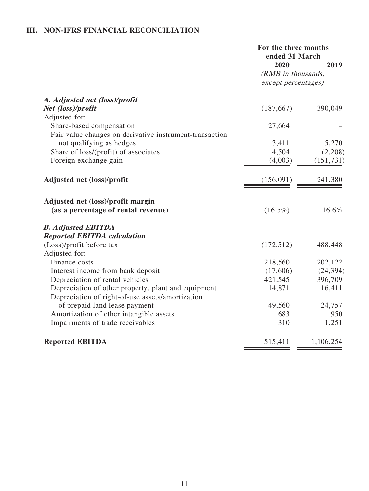# **III. NON-IFRS FINANCIAL RECONCILIATION**

|                                                         | For the three months<br>ended 31 March |            |
|---------------------------------------------------------|----------------------------------------|------------|
|                                                         | 2020                                   | 2019       |
|                                                         | (RMB in thousands,                     |            |
|                                                         | except percentages)                    |            |
| A. Adjusted net (loss)/profit                           |                                        |            |
| Net (loss)/profit                                       | (187, 667)                             | 390,049    |
| Adjusted for:                                           |                                        |            |
| Share-based compensation                                | 27,664                                 |            |
| Fair value changes on derivative instrument-transaction |                                        |            |
| not qualifying as hedges                                | 3,411                                  | 5,270      |
| Share of loss/(profit) of associates                    | 4,504                                  | (2,208)    |
| Foreign exchange gain                                   | (4,003)                                | (151, 731) |
| Adjusted net (loss)/profit                              | (156,091)                              | 241,380    |
| Adjusted net (loss)/profit margin                       |                                        |            |
| (as a percentage of rental revenue)                     | $(16.5\%)$                             | 16.6%      |
| <b>B.</b> Adjusted EBITDA                               |                                        |            |
| <b>Reported EBITDA calculation</b>                      |                                        |            |
| (Loss)/profit before tax                                | (172, 512)                             | 488,448    |
| Adjusted for:                                           |                                        |            |
| Finance costs                                           | 218,560                                | 202,122    |
| Interest income from bank deposit                       | (17,606)                               | (24, 394)  |
| Depreciation of rental vehicles                         | 421,545                                | 396,709    |
| Depreciation of other property, plant and equipment     | 14,871                                 | 16,411     |
| Depreciation of right-of-use assets/amortization        |                                        |            |
| of prepaid land lease payment                           | 49,560                                 | 24,757     |
| Amortization of other intangible assets                 | 683                                    | 950        |
| Impairments of trade receivables                        | 310                                    | 1,251      |
| <b>Reported EBITDA</b>                                  | 515,411                                | 1,106,254  |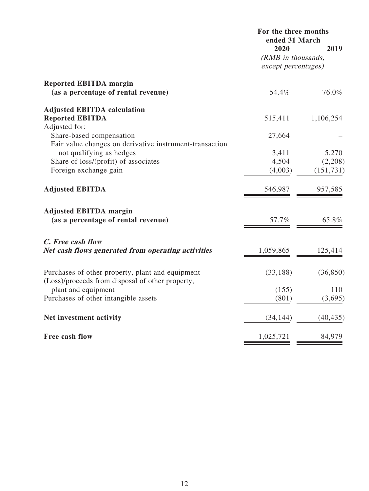| 2020<br>2019<br>(RMB in thousands,<br>except percentages)<br><b>Reported EBITDA margin</b><br>(as a percentage of rental revenue)<br>76.0%<br>54.4%<br><b>Adjusted EBITDA calculation</b><br><b>Reported EBITDA</b><br>515,411<br>1,106,254<br>Adjusted for:<br>Share-based compensation<br>27,664<br>Fair value changes on derivative instrument-transaction<br>not qualifying as hedges<br>5,270<br>3,411<br>Share of loss/(profit) of associates<br>4,504<br>(2,208)<br>Foreign exchange gain<br>(4,003)<br>(151, 731)<br><b>Adjusted EBITDA</b><br>546,987<br>957,585<br><b>Adjusted EBITDA margin</b><br>(as a percentage of rental revenue)<br>57.7%<br>65.8%<br>C. Free cash flow<br>Net cash flows generated from operating activities<br>1,059,865<br>125,414<br>Purchases of other property, plant and equipment<br>(33, 188)<br>(36, 850)<br>(Loss)/proceeds from disposal of other property,<br>plant and equipment<br>(155)<br>110<br>Purchases of other intangible assets<br>(801)<br>(3,695)<br>Net investment activity<br>(34, 144)<br>(40, 435)<br><b>Free cash flow</b><br>1,025,721<br>84,979 | For the three months<br>ended 31 March |  |  |
|------------------------------------------------------------------------------------------------------------------------------------------------------------------------------------------------------------------------------------------------------------------------------------------------------------------------------------------------------------------------------------------------------------------------------------------------------------------------------------------------------------------------------------------------------------------------------------------------------------------------------------------------------------------------------------------------------------------------------------------------------------------------------------------------------------------------------------------------------------------------------------------------------------------------------------------------------------------------------------------------------------------------------------------------------------------------------------------------------------------|----------------------------------------|--|--|
|                                                                                                                                                                                                                                                                                                                                                                                                                                                                                                                                                                                                                                                                                                                                                                                                                                                                                                                                                                                                                                                                                                                  |                                        |  |  |
|                                                                                                                                                                                                                                                                                                                                                                                                                                                                                                                                                                                                                                                                                                                                                                                                                                                                                                                                                                                                                                                                                                                  |                                        |  |  |
|                                                                                                                                                                                                                                                                                                                                                                                                                                                                                                                                                                                                                                                                                                                                                                                                                                                                                                                                                                                                                                                                                                                  |                                        |  |  |
|                                                                                                                                                                                                                                                                                                                                                                                                                                                                                                                                                                                                                                                                                                                                                                                                                                                                                                                                                                                                                                                                                                                  |                                        |  |  |
|                                                                                                                                                                                                                                                                                                                                                                                                                                                                                                                                                                                                                                                                                                                                                                                                                                                                                                                                                                                                                                                                                                                  |                                        |  |  |
|                                                                                                                                                                                                                                                                                                                                                                                                                                                                                                                                                                                                                                                                                                                                                                                                                                                                                                                                                                                                                                                                                                                  |                                        |  |  |
|                                                                                                                                                                                                                                                                                                                                                                                                                                                                                                                                                                                                                                                                                                                                                                                                                                                                                                                                                                                                                                                                                                                  |                                        |  |  |
|                                                                                                                                                                                                                                                                                                                                                                                                                                                                                                                                                                                                                                                                                                                                                                                                                                                                                                                                                                                                                                                                                                                  |                                        |  |  |
|                                                                                                                                                                                                                                                                                                                                                                                                                                                                                                                                                                                                                                                                                                                                                                                                                                                                                                                                                                                                                                                                                                                  |                                        |  |  |
|                                                                                                                                                                                                                                                                                                                                                                                                                                                                                                                                                                                                                                                                                                                                                                                                                                                                                                                                                                                                                                                                                                                  |                                        |  |  |
|                                                                                                                                                                                                                                                                                                                                                                                                                                                                                                                                                                                                                                                                                                                                                                                                                                                                                                                                                                                                                                                                                                                  |                                        |  |  |
|                                                                                                                                                                                                                                                                                                                                                                                                                                                                                                                                                                                                                                                                                                                                                                                                                                                                                                                                                                                                                                                                                                                  |                                        |  |  |
|                                                                                                                                                                                                                                                                                                                                                                                                                                                                                                                                                                                                                                                                                                                                                                                                                                                                                                                                                                                                                                                                                                                  |                                        |  |  |
|                                                                                                                                                                                                                                                                                                                                                                                                                                                                                                                                                                                                                                                                                                                                                                                                                                                                                                                                                                                                                                                                                                                  |                                        |  |  |
|                                                                                                                                                                                                                                                                                                                                                                                                                                                                                                                                                                                                                                                                                                                                                                                                                                                                                                                                                                                                                                                                                                                  |                                        |  |  |
|                                                                                                                                                                                                                                                                                                                                                                                                                                                                                                                                                                                                                                                                                                                                                                                                                                                                                                                                                                                                                                                                                                                  |                                        |  |  |
|                                                                                                                                                                                                                                                                                                                                                                                                                                                                                                                                                                                                                                                                                                                                                                                                                                                                                                                                                                                                                                                                                                                  |                                        |  |  |
|                                                                                                                                                                                                                                                                                                                                                                                                                                                                                                                                                                                                                                                                                                                                                                                                                                                                                                                                                                                                                                                                                                                  |                                        |  |  |
|                                                                                                                                                                                                                                                                                                                                                                                                                                                                                                                                                                                                                                                                                                                                                                                                                                                                                                                                                                                                                                                                                                                  |                                        |  |  |
|                                                                                                                                                                                                                                                                                                                                                                                                                                                                                                                                                                                                                                                                                                                                                                                                                                                                                                                                                                                                                                                                                                                  |                                        |  |  |
|                                                                                                                                                                                                                                                                                                                                                                                                                                                                                                                                                                                                                                                                                                                                                                                                                                                                                                                                                                                                                                                                                                                  |                                        |  |  |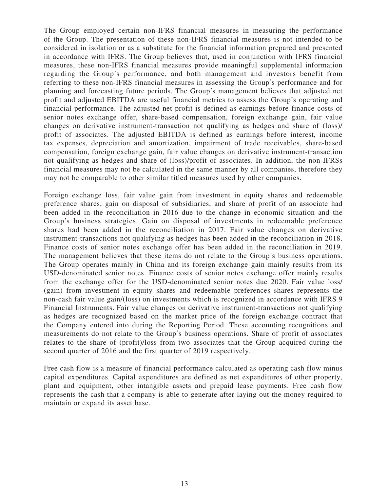The Group employed certain non-IFRS financial measures in measuring the performance of the Group. The presentation of these non-IFRS financial measures is not intended to be considered in isolation or as a substitute for the financial information prepared and presented in accordance with IFRS. The Group believes that, used in conjunction with IFRS financial measures, these non-IFRS financial measures provide meaningful supplemental information regarding the Group's performance, and both management and investors benefit from referring to these non-IFRS financial measures in assessing the Group's performance and for planning and forecasting future periods. The Group's management believes that adjusted net profit and adjusted EBITDA are useful financial metrics to assess the Group's operating and financial performance. The adjusted net profit is defined as earnings before finance costs of senior notes exchange offer, share-based compensation, foreign exchange gain, fair value changes on derivative instrument-transaction not qualifying as hedges and share of (loss)/ profit of associates. The adjusted EBITDA is defined as earnings before interest, income tax expenses, depreciation and amortization, impairment of trade receivables, share-based compensation, foreign exchange gain, fair value changes on derivative instrument-transaction not qualifying as hedges and share of (loss)/profit of associates. In addition, the non-IFRSs financial measures may not be calculated in the same manner by all companies, therefore they may not be comparable to other similar titled measures used by other companies.

Foreign exchange loss, fair value gain from investment in equity shares and redeemable preference shares, gain on disposal of subsidiaries, and share of profit of an associate had been added in the reconciliation in 2016 due to the change in economic situation and the Group's business strategies. Gain on disposal of investments in redeemable preference shares had been added in the reconciliation in 2017. Fair value changes on derivative instrument-transactions not qualifying as hedges has been added in the reconciliation in 2018. Finance costs of senior notes exchange offer has been added in the reconciliation in 2019. The management believes that these items do not relate to the Group's business operations. The Group operates mainly in China and its foreign exchange gain mainly results from its USD-denominated senior notes. Finance costs of senior notes exchange offer mainly results from the exchange offer for the USD-denominated senior notes due 2020. Fair value loss/ (gain) from investment in equity shares and redeemable preferences shares represents the non-cash fair value gain/(loss) on investments which is recognized in accordance with IFRS 9 Financial Instruments. Fair value changes on derivative instrument-transactions not qualifying as hedges are recognized based on the market price of the foreign exchange contract that the Company entered into during the Reporting Period. These accounting recognitions and measurements do not relate to the Group's business operations. Share of profit of associates relates to the share of (profit)/loss from two associates that the Group acquired during the second quarter of 2016 and the first quarter of 2019 respectively.

Free cash flow is a measure of financial performance calculated as operating cash flow minus capital expenditures. Capital expenditures are defined as net expenditures of other property, plant and equipment, other intangible assets and prepaid lease payments. Free cash flow represents the cash that a company is able to generate after laying out the money required to maintain or expand its asset base.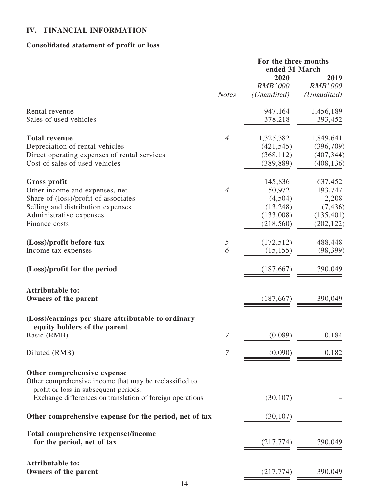# **IV. FINANCIAL INFORMATION**

# **Consolidated statement of profit or loss**

|                                                                                       |                | For the three months<br>ended 31 March |                        |
|---------------------------------------------------------------------------------------|----------------|----------------------------------------|------------------------|
|                                                                                       |                | 2020<br><b>RMB'000</b>                 | 2019<br><b>RMB'000</b> |
|                                                                                       | <b>Notes</b>   | (Unaudited)                            | (Unaudited)            |
| Rental revenue                                                                        |                | 947,164                                | 1,456,189              |
| Sales of used vehicles                                                                |                | 378,218                                | 393,452                |
| <b>Total revenue</b>                                                                  | $\overline{4}$ | 1,325,382                              | 1,849,641              |
| Depreciation of rental vehicles                                                       |                | (421, 545)                             | (396,709)              |
| Direct operating expenses of rental services                                          |                | (368, 112)                             | (407, 344)             |
| Cost of sales of used vehicles                                                        |                | (389, 889)                             | (408, 136)             |
| <b>Gross profit</b>                                                                   |                | 145,836                                | 637,452                |
| Other income and expenses, net                                                        | $\overline{4}$ | 50,972                                 | 193,747                |
| Share of (loss)/profit of associates                                                  |                | (4,504)                                | 2,208                  |
| Selling and distribution expenses                                                     |                | (13,248)                               | (7, 436)               |
| Administrative expenses                                                               |                | (133,008)                              | (135, 401)             |
| Finance costs                                                                         |                | (218, 560)                             | (202, 122)             |
| (Loss)/profit before tax                                                              | $\mathfrak{I}$ | (172, 512)                             | 488,448                |
| Income tax expenses                                                                   | 6              | (15, 155)                              | (98, 399)              |
| (Loss)/profit for the period                                                          |                | (187, 667)                             | 390,049                |
| <b>Attributable to:</b>                                                               |                |                                        |                        |
| <b>Owners of the parent</b>                                                           |                | (187, 667)                             | 390,049                |
| (Loss)/earnings per share attributable to ordinary                                    |                |                                        |                        |
| equity holders of the parent                                                          |                |                                        |                        |
| Basic (RMB)                                                                           | 7              | (0.089)                                | 0.184                  |
| Diluted (RMB)                                                                         | 7              | (0.090)                                | 0.182                  |
|                                                                                       |                |                                        |                        |
| Other comprehensive expense<br>Other comprehensive income that may be reclassified to |                |                                        |                        |
| profit or loss in subsequent periods:                                                 |                |                                        |                        |
| Exchange differences on translation of foreign operations                             |                | (30, 107)                              |                        |
|                                                                                       |                |                                        |                        |
| Other comprehensive expense for the period, net of tax                                |                | (30, 107)                              |                        |
| Total comprehensive (expense)/income                                                  |                |                                        |                        |
| for the period, net of tax                                                            |                | (217,774)                              | 390,049                |
| <b>Attributable to:</b>                                                               |                |                                        |                        |
| Owners of the parent                                                                  |                | (217,774)                              | 390,049                |

E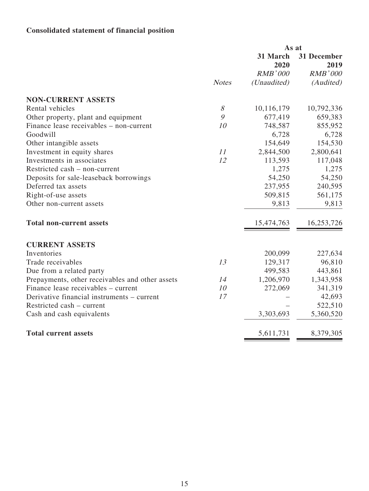# **Consolidated statement of financial position**

|              | As at            |                     |
|--------------|------------------|---------------------|
|              | 31 March<br>2020 | 31 December<br>2019 |
|              | <b>RMB'000</b>   | <b>RMB'000</b>      |
| <b>Notes</b> | (Unaudited)      | (Audited)           |
|              |                  |                     |
| $\mathcal S$ | 10,116,179       | 10,792,336          |
| 9            | 677,419          | 659,383             |
| 10           | 748,587          | 855,952             |
|              | 6,728            | 6,728               |
|              | 154,649          | 154,530             |
| 11           | 2,844,500        | 2,800,641           |
| 12           | 113,593          | 117,048             |
|              | 1,275            | 1,275               |
|              | 54,250           | 54,250              |
|              | 237,955          | 240,595             |
|              | 509,815          | 561,175             |
|              | 9,813            | 9,813               |
|              | 15,474,763       | 16,253,726          |
|              |                  |                     |
|              | 200,099          | 227,634             |
| 13           |                  | 96,810              |
|              | 499,583          | 443,861             |
| 14           | 1,206,970        | 1,343,958           |
| 10           | 272,069          | 341,319             |
| 17           |                  | 42,693              |
|              |                  | 522,510             |
|              | 3,303,693        | 5,360,520           |
|              | 5,611,731        | 8,379,305           |
|              |                  | 129,317             |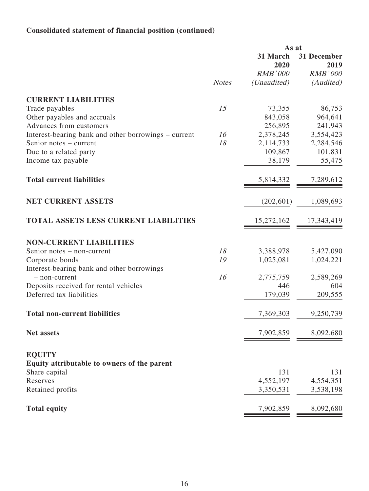# **Consolidated statement of financial position (continued)**

|                                                              |              | As at            |                     |
|--------------------------------------------------------------|--------------|------------------|---------------------|
|                                                              |              | 31 March<br>2020 | 31 December<br>2019 |
|                                                              |              | <b>RMB'000</b>   | <b>RMB'000</b>      |
|                                                              | <b>Notes</b> | (Unaudited)      | (Audited)           |
| <b>CURRENT LIABILITIES</b>                                   |              |                  |                     |
| Trade payables                                               | 15           | 73,355           | 86,753              |
| Other payables and accruals                                  |              | 843,058          | 964,641             |
| Advances from customers                                      |              | 256,895          | 241,943             |
| Interest-bearing bank and other borrowings – current         | 16           | 2,378,245        | 3,554,423           |
| Senior notes – current                                       | 18           | 2,114,733        | 2,284,546           |
| Due to a related party                                       |              | 109,867          | 101,831             |
| Income tax payable                                           |              | 38,179           | 55,475              |
| <b>Total current liabilities</b>                             |              | 5,814,332        | 7,289,612           |
| <b>NET CURRENT ASSETS</b>                                    |              | (202, 601)       | 1,089,693           |
| <b>TOTAL ASSETS LESS CURRENT LIABILITIES</b>                 |              | 15,272,162       | 17,343,419          |
| <b>NON-CURRENT LIABILITIES</b>                               |              |                  |                     |
| Senior notes – non-current                                   | 18           | 3,388,978        | 5,427,090           |
| Corporate bonds                                              | 19           | 1,025,081        | 1,024,221           |
| Interest-bearing bank and other borrowings                   |              |                  |                     |
| - non-current                                                | 16           | 2,775,759        | 2,589,269           |
| Deposits received for rental vehicles                        |              | 446              | 604                 |
| Deferred tax liabilities                                     |              | 179,039          | 209,555             |
| <b>Total non-current liabilities</b>                         |              | 7,369,303        | 9,250,739           |
| <b>Net assets</b>                                            |              | 7,902,859        | 8,092,680           |
|                                                              |              |                  |                     |
| <b>EQUITY</b><br>Equity attributable to owners of the parent |              |                  |                     |
| Share capital                                                |              | 131              | 131                 |
| Reserves                                                     |              | 4,552,197        | 4,554,351           |
| Retained profits                                             |              | 3,350,531        | 3,538,198           |
|                                                              |              |                  |                     |
| <b>Total equity</b>                                          |              | 7,902,859        | 8,092,680           |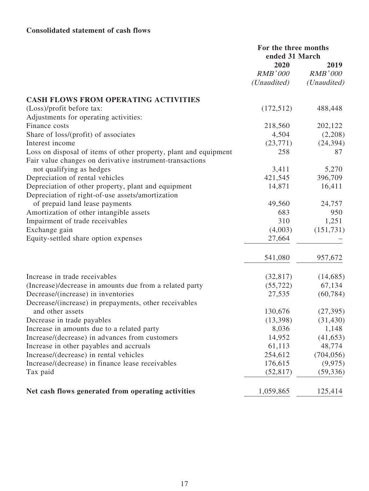# **Consolidated statement of cash flows**

|                                                                  | For the three months<br>ended 31 March |                |
|------------------------------------------------------------------|----------------------------------------|----------------|
|                                                                  | 2020                                   |                |
|                                                                  | <b>RMB'000</b>                         | <b>RMB'000</b> |
|                                                                  | ( <i>Unaudited</i> )                   | (Unaudited)    |
| <b>CASH FLOWS FROM OPERATING ACTIVITIES</b>                      |                                        |                |
| (Loss)/profit before tax:                                        | (172, 512)                             | 488,448        |
| Adjustments for operating activities:                            |                                        |                |
| Finance costs                                                    | 218,560                                | 202,122        |
| Share of loss/(profit) of associates                             | 4,504                                  | (2,208)        |
| Interest income                                                  | (23,771)                               | (24, 394)      |
| Loss on disposal of items of other property, plant and equipment | 258                                    | 87             |
| Fair value changes on derivative instrument-transactions         |                                        |                |
| not qualifying as hedges                                         | 3,411                                  | 5,270          |
| Depreciation of rental vehicles                                  | 421,545                                | 396,709        |
| Depreciation of other property, plant and equipment              | 14,871                                 | 16,411         |
| Depreciation of right-of-use assets/amortization                 |                                        |                |
| of prepaid land lease payments                                   | 49,560                                 | 24,757         |
| Amortization of other intangible assets                          | 683                                    | 950            |
| Impairment of trade receivables                                  | 310                                    | 1,251          |
| Exchange gain                                                    | (4,003)                                | (151, 731)     |
| Equity-settled share option expenses                             | 27,664                                 |                |
|                                                                  |                                        |                |
|                                                                  | 541,080                                | 957,672        |
| Increase in trade receivables                                    | (32, 817)                              | (14,685)       |
| (Increase)/decrease in amounts due from a related party          | (55, 722)                              | 67,134         |
| Decrease/(increase) in inventories                               | 27,535                                 | (60, 784)      |
| Decrease/(increase) in prepayments, other receivables            |                                        |                |
| and other assets                                                 | 130,676                                | (27, 395)      |
| Decrease in trade payables                                       | (13,398)                               | (31, 430)      |
| Increase in amounts due to a related party                       | 8,036                                  | 1,148          |
| Increase/(decrease) in advances from customers                   | 14,952                                 | (41, 653)      |
| Increase in other payables and accruals                          | 61,113                                 | 48,774         |
| Increase/(decrease) in rental vehicles                           | 254,612                                | (704, 056)     |
| Increase/(decrease) in finance lease receivables                 | 176,615                                | (9, 975)       |
| Tax paid                                                         | (52, 817)                              | (59, 336)      |
| Net cash flows generated from operating activities               | 1,059,865                              | 125,414        |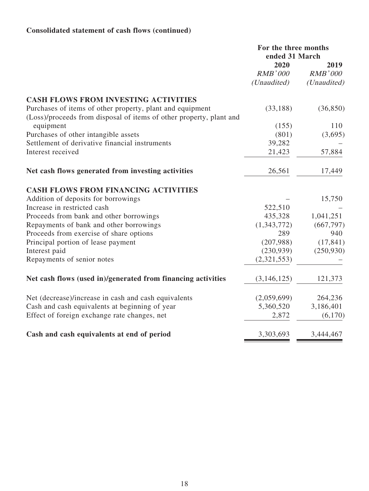# **Consolidated statement of cash flows (continued)**

|                                                                                                                                  | For the three months<br>ended 31 March |                                       |
|----------------------------------------------------------------------------------------------------------------------------------|----------------------------------------|---------------------------------------|
|                                                                                                                                  | 2020<br><b>RMB'000</b><br>(Unaudited)  | 2019<br><b>RMB'000</b><br>(Unaudited) |
| <b>CASH FLOWS FROM INVESTING ACTIVITIES</b>                                                                                      |                                        |                                       |
| Purchases of items of other property, plant and equipment<br>(Loss)/proceeds from disposal of items of other property, plant and | (33, 188)                              | (36, 850)                             |
| equipment                                                                                                                        | (155)                                  | 110                                   |
| Purchases of other intangible assets                                                                                             | (801)                                  | (3,695)                               |
| Settlement of derivative financial instruments                                                                                   | 39,282                                 |                                       |
| Interest received                                                                                                                | 21,423                                 | 57,884                                |
| Net cash flows generated from investing activities                                                                               | 26,561                                 | 17,449                                |
| <b>CASH FLOWS FROM FINANCING ACTIVITIES</b>                                                                                      |                                        |                                       |
| Addition of deposits for borrowings                                                                                              |                                        | 15,750                                |
| Increase in restricted cash                                                                                                      | 522,510                                |                                       |
| Proceeds from bank and other borrowings                                                                                          | 435,328                                | 1,041,251                             |
| Repayments of bank and other borrowings                                                                                          | (1,343,772)                            | (667, 797)                            |
| Proceeds from exercise of share options                                                                                          | 289                                    | 940                                   |
| Principal portion of lease payment                                                                                               | (207,988)                              | (17, 841)                             |
| Interest paid                                                                                                                    | (230,939)                              | (250, 930)                            |
| Repayments of senior notes                                                                                                       | (2,321,553)                            |                                       |
| Net cash flows (used in)/generated from financing activities                                                                     | (3, 146, 125)                          | 121,373                               |
| Net (decrease)/increase in cash and cash equivalents                                                                             | (2,059,699)                            | 264,236                               |
| Cash and cash equivalents at beginning of year                                                                                   | 5,360,520                              | 3,186,401                             |
| Effect of foreign exchange rate changes, net                                                                                     | 2,872                                  | (6,170)                               |
| Cash and cash equivalents at end of period                                                                                       | 3,303,693                              | 3,444,467                             |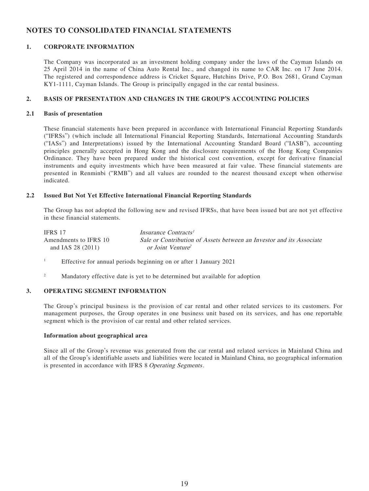## **NOTES TO CONSOLIDATED FINANCIAL STATEMENTS**

## **1. CORPORATE INFORMATION**

The Company was incorporated as an investment holding company under the laws of the Cayman Islands on 25 April 2014 in the name of China Auto Rental Inc., and changed its name to CAR Inc. on 17 June 2014. The registered and correspondence address is Cricket Square, Hutchins Drive, P.O. Box 2681, Grand Cayman KY1-1111, Cayman Islands. The Group is principally engaged in the car rental business.

## **2. BASIS OF PRESENTATION AND CHANGES IN THE GROUP'S ACCOUNTING POLICIES**

#### **2.1 Basis of presentation**

These financial statements have been prepared in accordance with International Financial Reporting Standards ("IFRSs") (which include all International Financial Reporting Standards, International Accounting Standards ("IASs") and Interpretations) issued by the International Accounting Standard Board ("IASB"), accounting principles generally accepted in Hong Kong and the disclosure requirements of the Hong Kong Companies Ordinance. They have been prepared under the historical cost convention, except for derivative financial instruments and equity investments which have been measured at fair value. These financial statements are presented in Renminbi ("RMB") and all values are rounded to the nearest thousand except when otherwise indicated.

## **2.2 Issued But Not Yet Effective International Financial Reporting Standards**

The Group has not adopted the following new and revised IFRSs, that have been issued but are not yet effective in these financial statements.

| IFRS 17               | Insurance Contracts <sup>1</sup>                                     |
|-----------------------|----------------------------------------------------------------------|
| Amendments to IFRS 10 | Sale or Contribution of Assets between an Investor and its Associate |
| and IAS 28 $(2011)$   | or Joint Venture <sup>2</sup>                                        |

- 1 Effective for annual periods beginning on or after 1 January 2021
- 2 Mandatory effective date is yet to be determined but available for adoption

#### **3. OPERATING SEGMENT INFORMATION**

The Group's principal business is the provision of car rental and other related services to its customers. For management purposes, the Group operates in one business unit based on its services, and has one reportable segment which is the provision of car rental and other related services.

## **Information about geographical area**

Since all of the Group's revenue was generated from the car rental and related services in Mainland China and all of the Group's identifiable assets and liabilities were located in Mainland China, no geographical information is presented in accordance with IFRS 8 Operating Segments.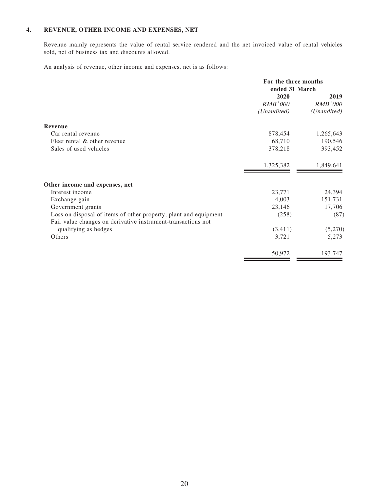## **4. REVENUE, OTHER INCOME AND EXPENSES, NET**

Revenue mainly represents the value of rental service rendered and the net invoiced value of rental vehicles sold, net of business tax and discounts allowed.

An analysis of revenue, other income and expenses, net is as follows:

|                                                                  | For the three months<br>ended 31 March |                |
|------------------------------------------------------------------|----------------------------------------|----------------|
|                                                                  | 2020                                   | 2019           |
|                                                                  | <b>RMB'000</b>                         | <b>RMB'000</b> |
|                                                                  | (Unaudited)                            | (Unaudited)    |
| Revenue                                                          |                                        |                |
| Car rental revenue                                               | 878,454                                | 1,265,643      |
| Fleet rental & other revenue                                     | 68,710                                 | 190,546        |
| Sales of used vehicles                                           | 378,218                                | 393,452        |
|                                                                  | 1,325,382                              | 1,849,641      |
| Other income and expenses, net                                   |                                        |                |
| Interest income                                                  | 23,771                                 | 24,394         |
| Exchange gain                                                    | 4,003                                  | 151,731        |
| Government grants                                                | 23,146                                 | 17,706         |
| Loss on disposal of items of other property, plant and equipment | (258)                                  | (87)           |
| Fair value changes on derivative instrument-transactions not     |                                        |                |
| qualifying as hedges                                             | (3,411)                                | (5,270)        |
| Others                                                           | 3,721                                  | 5,273          |
|                                                                  | 50,972                                 | 193,747        |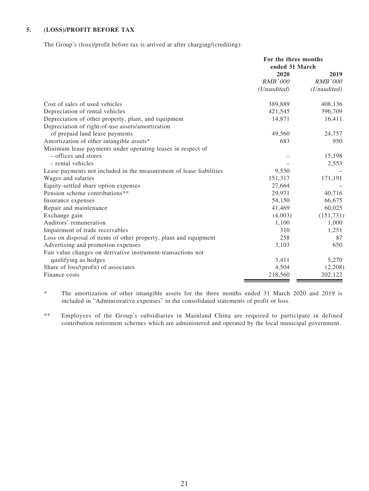## **5. (LOSS)/PROFIT BEFORE TAX**

The Group's (loss)/profit before tax is arrived at after charging/(crediting):

|                                                                     | For the three months |                |
|---------------------------------------------------------------------|----------------------|----------------|
|                                                                     | ended 31 March       |                |
|                                                                     | 2020                 | 2019           |
|                                                                     | <b>RMB'000</b>       | <i>RMB'000</i> |
|                                                                     | (Unaudited)          | (Unaudited)    |
| Cost of sales of used vehicles                                      | 389,889              | 408,136        |
| Depreciation of rental vehicles                                     | 421,545              | 396,709        |
| Depreciation of other property, plant, and equipment                | 14,871               | 16,411         |
| Depreciation of right-of-use assets/amortization                    |                      |                |
| of prepaid land lease payments                                      | 49,560               | 24,757         |
| Amortization of other intangible assets*                            | 683                  | 950            |
| Minimum lease payments under operating leases in respect of         |                      |                |
| - offices and stores                                                |                      | 15,198         |
| - rental vehicles                                                   |                      | 2,553          |
| Lease payments not included in the measurement of lease liabilities | 9,550                |                |
| Wages and salaries                                                  | 151,317              | 171,191        |
| Equity-settled share option expenses                                | 27,664               |                |
| Pension scheme contributions**                                      | 29,971               | 40,716         |
| Insurance expenses                                                  | 54,150               | 66,675         |
| Repair and maintenance                                              | 41,469               | 60,025         |
| Exchange gain                                                       | (4,003)              | (151, 731)     |
| Auditors' remuneration                                              | 1,100                | 1,000          |
| Impairment of trade receivables                                     | 310                  | 1,251          |
| Loss on disposal of items of other property, plant and equipment    | 258                  | 87             |
| Advertising and promotion expenses                                  | 3,103                | 650            |
| Fair value changes on derivative instrument-transactions not        |                      |                |
| qualifying as hedges                                                | 3,411                | 5,270          |
| Share of loss/(profit) of associates                                | 4,504                | (2,208)        |
| Finance costs                                                       | 218,560              | 202,122        |

\* The amortization of other intangible assets for the three months ended 31 March 2020 and 2019 is included in "Administrative expenses" in the consolidated statements of profit or loss.

\*\* Employees of the Group's subsidiaries in Mainland China are required to participate in defined contribution retirement schemes which are administered and operated by the local municipal government.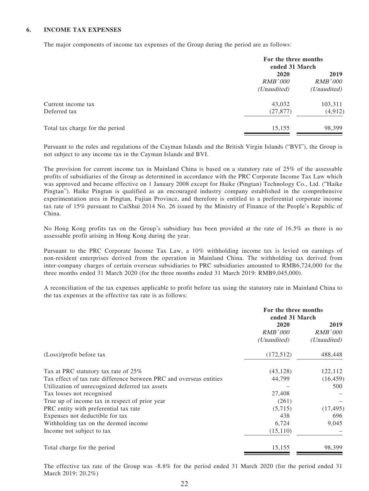## **6. INCOME TAX EXPENSES**

The major components of income tax expenses of the Group during the period are as follows:

|                                 |                                | For the three months<br>ended 31 March |  |
|---------------------------------|--------------------------------|----------------------------------------|--|
|                                 | 2020<br>RMB'000<br>(Unaudited) | 2019<br><b>RMB'000</b>                 |  |
|                                 |                                | ( <i>Unaudited</i> )                   |  |
| Current income tax              | 43,032                         | 103,311                                |  |
| Deferred tax                    | (27, 877)                      | (4,912)                                |  |
| Total tax charge for the period | 15,155                         | 98,399                                 |  |

Pursuant to the rules and regulations of the Cayman Islands and the British Virgin Islands ("BVI"), the Group is not subject to any income tax in the Cayman Islands and BVI.

The provision for current income tax in Mainland China is based on a statutory rate of 25% of the assessable profits of subsidiaries of the Group as determined in accordance with the PRC Corporate Income Tax Law which was approved and became effective on 1 January 2008 except for Haike (Pingtan) Technology Co., Ltd. ("Haike Pingtan"). Haike Pingtan is qualified as an encouraged industry company established in the comprehensive experimentation area in Pingtan, Fujian Province, and therefore is entitled to a preferential corporate income tax rate of 15% pursuant to CaiShui 2014 No. 26 issued by the Ministry of Finance of the People's Republic of China.

No Hong Kong profits tax on the Group's subsidiary has been provided at the rate of 16.5% as there is no assessable profit arising in Hong Kong during the year.

Pursuant to the PRC Corporate Income Tax Law, a 10% withholding income tax is levied on earnings of non-resident enterprises derived from the operation in Mainland China. The withholding tax derived from inter-company charges of certain overseas subsidiaries to PRC subsidiaries amounted to RMB6,724,000 for the three months ended 31 March 2020 (for the three months ended 31 March 2019: RMB9,045,000).

A reconciliation of the tax expenses applicable to profit before tax using the statutory rate in Mainland China to the tax expenses at the effective tax rate is as follows:

|                                                                     | For the three months<br>ended 31 March |                                                |
|---------------------------------------------------------------------|----------------------------------------|------------------------------------------------|
|                                                                     | 2020<br><i>RMB'000</i><br>(Unaudited)  | 2019<br><i>RMB'000</i><br>( <i>Unaudited</i> ) |
| (Loss)/profit before tax                                            | (172, 512)                             | 488,448                                        |
| Tax at PRC statutory tax rate of 25%                                | (43, 128)                              | 122,112                                        |
| Tax effect of tax rate difference between PRC and overseas entities | 44,799                                 | (16, 459)                                      |
| Utilization of unrecognized deferred tax assets                     |                                        | 500                                            |
| Tax losses not recognised                                           | 27,408                                 |                                                |
| True up of income tax in respect of prior year                      | (261)                                  |                                                |
| PRC entity with preferential tax rate                               | (5,715)                                | (17, 495)                                      |
| Expenses not deductible for tax                                     | 438                                    | 696                                            |
| Withholding tax on the deemed income.                               | 6,724                                  | 9,045                                          |
| Income not subject to tax                                           | (15,110)                               |                                                |
| Total charge for the period                                         | 15,155                                 | 98,399                                         |

The effective tax rate of the Group was -8.8% for the period ended 31 March 2020 (for the period ended 31 March 2019: 20.2%)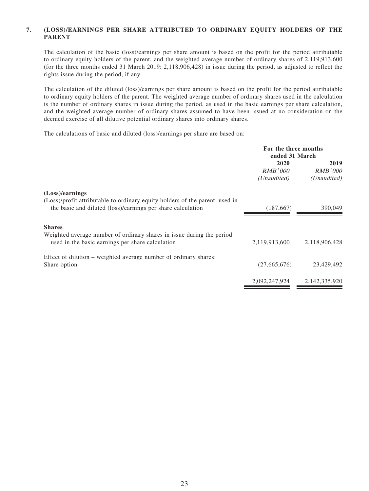## **7. (LOSS)/EARNINGS PER SHARE ATTRIBUTED TO ORDINARY EQUITY HOLDERS OF THE PARENT**

The calculation of the basic (loss)/earnings per share amount is based on the profit for the period attributable to ordinary equity holders of the parent, and the weighted average number of ordinary shares of 2,119,913,600 (for the three months ended 31 March 2019: 2,118,906,428) in issue during the period, as adjusted to reflect the rights issue during the period, if any.

The calculation of the diluted (loss)/earnings per share amount is based on the profit for the period attributable to ordinary equity holders of the parent. The weighted average number of ordinary shares used in the calculation is the number of ordinary shares in issue during the period, as used in the basic earnings per share calculation, and the weighted average number of ordinary shares assumed to have been issued at no consideration on the deemed exercise of all dilutive potential ordinary shares into ordinary shares.

The calculations of basic and diluted (loss)/earnings per share are based on:

|                                                                                                                                             | For the three months<br>ended 31 March |               |  |  |                        |
|---------------------------------------------------------------------------------------------------------------------------------------------|----------------------------------------|---------------|--|--|------------------------|
|                                                                                                                                             | 2020                                   | RMB'000       |  |  | 2019<br><b>RMB'000</b> |
|                                                                                                                                             | (Unaudited)                            | (Unaudited)   |  |  |                        |
| (Loss)/earnings                                                                                                                             |                                        |               |  |  |                        |
| (Loss)/profit attributable to ordinary equity holders of the parent, used in<br>the basic and diluted (loss)/earnings per share calculation | (187,667)                              | 390,049       |  |  |                        |
| <b>Shares</b>                                                                                                                               |                                        |               |  |  |                        |
| Weighted average number of ordinary shares in issue during the period<br>used in the basic earnings per share calculation                   | 2,119,913,600                          | 2,118,906,428 |  |  |                        |
| Effect of dilution – weighted average number of ordinary shares:                                                                            |                                        |               |  |  |                        |
| Share option                                                                                                                                | (27,665,676)                           | 23,429,492    |  |  |                        |
|                                                                                                                                             | 2,092,247,924                          | 2,142,335,920 |  |  |                        |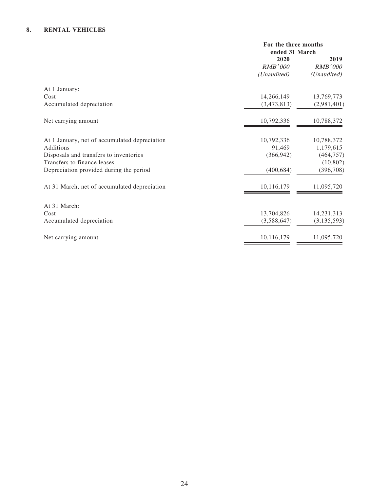## **8. RENTAL VEHICLES**

| For the three months |                |
|----------------------|----------------|
| ended 31 March       |                |
| 2020                 | 2019           |
| <b>RMB'000</b>       | <b>RMB'000</b> |
| (Unaudited)          | (Unaudited)    |
|                      |                |
| 14,266,149           | 13,769,773     |
| (3,473,813)          | (2,981,401)    |
| 10,792,336           | 10,788,372     |
| 10,792,336           | 10,788,372     |
| 91,469               | 1,179,615      |
| (366, 942)           | (464, 757)     |
|                      | (10, 802)      |
| (400, 684)           | (396, 708)     |
| 10,116,179           | 11,095,720     |
|                      |                |
|                      | 14,231,313     |
| (3,588,647)          | (3, 135, 593)  |
| 10,116,179           | 11,095,720     |
|                      | 13,704,826     |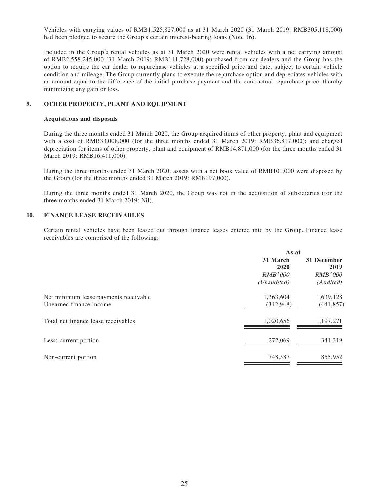Vehicles with carrying values of RMB1,525,827,000 as at 31 March 2020 (31 March 2019: RMB305,118,000) had been pledged to secure the Group's certain interest-bearing loans (Note 16).

Included in the Group's rental vehicles as at 31 March 2020 were rental vehicles with a net carrying amount of RMB2,558,245,000 (31 March 2019: RMB141,728,000) purchased from car dealers and the Group has the option to require the car dealer to repurchase vehicles at a specified price and date, subject to certain vehicle condition and mileage. The Group currently plans to execute the repurchase option and depreciates vehicles with an amount equal to the difference of the initial purchase payment and the contractual repurchase price, thereby minimizing any gain or loss.

## **9. OTHER PROPERTY, PLANT AND EQUIPMENT**

#### **Acquisitions and disposals**

During the three months ended 31 March 2020, the Group acquired items of other property, plant and equipment with a cost of RMB33,008,000 (for the three months ended 31 March 2019: RMB36,817,000); and charged depreciation for items of other property, plant and equipment of RMB14,871,000 (for the three months ended 31 March 2019: RMB16,411,000).

During the three months ended 31 March 2020, assets with a net book value of RMB101,000 were disposed by the Group (for the three months ended 31 March 2019: RMB197,000).

During the three months ended 31 March 2020, the Group was not in the acquisition of subsidiaries (for the three months ended 31 March 2019: Nil).

#### **10. FINANCE LEASE RECEIVABLES**

Certain rental vehicles have been leased out through finance leases entered into by the Group. Finance lease receivables are comprised of the following:

|                                       | As at            |                     |
|---------------------------------------|------------------|---------------------|
|                                       | 31 March<br>2020 | 31 December<br>2019 |
|                                       | <i>RMB'000</i>   | RMB'000             |
|                                       | (Unaudited)      | (Audited)           |
| Net minimum lease payments receivable | 1,363,604        | 1,639,128           |
| Unearned finance income               | (342, 948)       | (441, 857)          |
| Total net finance lease receivables   | 1,020,656        | 1,197,271           |
| Less: current portion                 | 272,069          | 341,319             |
| Non-current portion                   | 748,587          | 855,952             |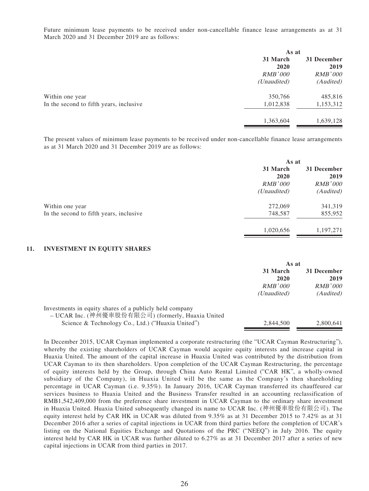Future minimum lease payments to be received under non-cancellable finance lease arrangements as at 31 March 2020 and 31 December 2019 are as follows:

|                                         | As at          |                |
|-----------------------------------------|----------------|----------------|
|                                         | 31 March       | 31 December    |
|                                         | 2020           | 2019           |
|                                         | <i>RMB'000</i> | <b>RMB'000</b> |
|                                         | (Unaudited)    | (Audited)      |
| Within one year                         | 350,766        | 485,816        |
| In the second to fifth years, inclusive | 1,012,838      | 1,153,312      |
|                                         | 1,363,604      | 1,639,128      |
|                                         |                |                |

The present values of minimum lease payments to be received under non-cancellable finance lease arrangements as at 31 March 2020 and 31 December 2019 are as follows:

|                                         | As at            |                     |  |
|-----------------------------------------|------------------|---------------------|--|
|                                         | 31 March<br>2020 | 31 December<br>2019 |  |
|                                         | <b>RMB'000</b>   | <b>RMB'000</b>      |  |
|                                         | (Unaudited)      | (Audited)           |  |
| Within one year                         | 272,069          | 341,319             |  |
| In the second to fifth years, inclusive | 748,587          | 855,952             |  |
|                                         | 1,020,656        | 1,197,271           |  |

#### **11. INVESTMENT IN EQUITY SHARES**

|                                                                                                                                                                   | As at                       |                                |
|-------------------------------------------------------------------------------------------------------------------------------------------------------------------|-----------------------------|--------------------------------|
|                                                                                                                                                                   | 31 March<br>2020<br>RMB'000 | 31 December<br>2019<br>RMB'000 |
| Investments in equity shares of a publicly held company<br>- UCAR Inc. (神州優車股份有限公司) (formerly, Huaxia United<br>Science & Technology Co., Ltd.) ("Huaxia United") | (Unaudited)<br>2.844,500    | (Audited)<br>2.800.641         |

In December 2015, UCAR Cayman implemented a corporate restructuring (the "UCAR Cayman Restructuring"), whereby the existing shareholders of UCAR Cayman would acquire equity interests and increase capital in Huaxia United. The amount of the capital increase in Huaxia United was contributed by the distribution from UCAR Cayman to its then shareholders. Upon completion of the UCAR Cayman Restructuring, the percentage of equity interests held by the Group, through China Auto Rental Limited ("CAR HK", a wholly-owned subsidiary of the Company), in Huaxia United will be the same as the Company's then shareholding percentage in UCAR Cayman (i.e. 9.35%). In January 2016, UCAR Cayman transferred its chauffeured car services business to Huaxia United and the Business Transfer resulted in an accounting reclassification of RMB1,542,409,000 from the preference share investment in UCAR Cayman to the ordinary share investment in Huaxia United. Huaxia United subsequently changed its name to UCAR Inc. (神州優車股份有限公司). The equity interest held by CAR HK in UCAR was diluted from 9.35% as at 31 December 2015 to 7.42% as at 31 December 2016 after a series of capital injections in UCAR from third parties before the completion of UCAR's listing on the National Equities Exchange and Quotations of the PRC ("NEEQ") in July 2016. The equity interest held by CAR HK in UCAR was further diluted to 6.27% as at 31 December 2017 after a series of new capital injections in UCAR from third parties in 2017.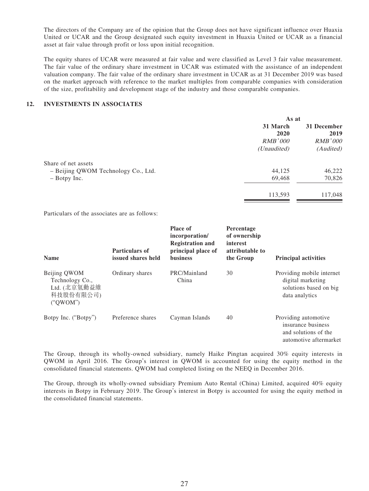The directors of the Company are of the opinion that the Group does not have significant influence over Huaxia United or UCAR and the Group designated such equity investment in Huaxia United or UCAR as a financial asset at fair value through profit or loss upon initial recognition.

The equity shares of UCAR were measured at fair value and were classified as Level 3 fair value measurement. The fair value of the ordinary share investment in UCAR was estimated with the assistance of an independent valuation company. The fair value of the ordinary share investment in UCAR as at 31 December 2019 was based on the market approach with reference to the market multiples from comparable companies with consideration of the size, profitability and development stage of the industry and those comparable companies.

## **12. INVESTMENTS IN ASSOCIATES**

| As at            |                     |
|------------------|---------------------|
| 31 March<br>2020 | 31 December<br>2019 |
| <i>RMB'000</i>   | <i>RMB'000</i>      |
| (Unaudited)      | (Audited)           |
|                  |                     |
| 44,125           | 46,222              |
| 69,468           | 70,826              |
| 113,593          | 117,048             |
|                  |                     |

Particulars of the associates are as follows:

| <b>Name</b>                                                              | <b>Particulars of</b><br>issued shares held | <b>Place of</b><br>incorporation/<br><b>Registration and</b><br>principal place of<br><b>business</b> | Percentage<br>of ownership<br>interest<br>attributable to<br>the Group | <b>Principal activities</b>                                                                  |
|--------------------------------------------------------------------------|---------------------------------------------|-------------------------------------------------------------------------------------------------------|------------------------------------------------------------------------|----------------------------------------------------------------------------------------------|
| Beijing QWOM<br>Technology Co.,<br>Ltd. (北京氫動益維<br>科技股份有限公司)<br>("OWOM") | Ordinary shares                             | PRC/Mainland<br>China                                                                                 | 30                                                                     | Providing mobile internet<br>digital marketing<br>solutions based on big<br>data analytics   |
| Botpy Inc. ("Botpy")                                                     | Preference shares                           | Cayman Islands                                                                                        | 40                                                                     | Providing automotive<br>insurance business<br>and solutions of the<br>automotive aftermarket |

The Group, through its wholly-owned subsidiary, namely Haike Pingtan acquired 30% equity interests in QWOM in April 2016. The Group's interest in QWOM is accounted for using the equity method in the consolidated financial statements. QWOM had completed listing on the NEEQ in December 2016.

The Group, through its wholly-owned subsidiary Premium Auto Rental (China) Limited, acquired 40% equity interests in Botpy in February 2019. The Group's interest in Botpy is accounted for using the equity method in the consolidated financial statements.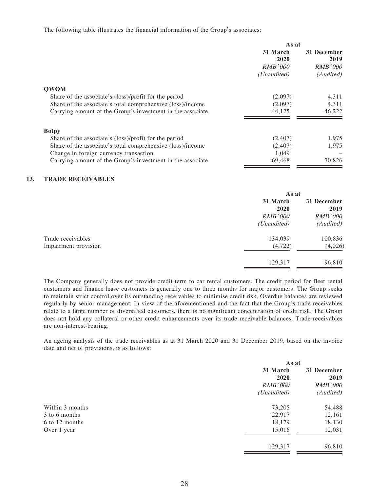The following table illustrates the financial information of the Group's associates:

|                                                            | As at                                               |                                                    |
|------------------------------------------------------------|-----------------------------------------------------|----------------------------------------------------|
|                                                            | 31 March<br>2020<br>RMB'000<br>( <i>Unaudited</i> ) | 31 December<br>2019<br><b>RMB'000</b><br>(Audited) |
| <b>OWOM</b>                                                |                                                     |                                                    |
| Share of the associate's (loss)/profit for the period      | (2,097)                                             | 4,311                                              |
| Share of the associate's total comprehensive (loss)/income | (2,097)                                             | 4,311                                              |
| Carrying amount of the Group's investment in the associate | 44,125                                              | 46,222                                             |
| <b>Botpy</b>                                               |                                                     |                                                    |
| Share of the associate's (loss)/profit for the period      | (2,407)                                             | 1,975                                              |
| Share of the associate's total comprehensive (loss)/income | (2,407)                                             | 1,975                                              |
| Change in foreign currency transaction                     | 1,049                                               |                                                    |
| Carrying amount of the Group's investment in the associate | 69,468                                              | 70,826                                             |

#### **13. TRADE RECEIVABLES**

|                      | As at          |                |
|----------------------|----------------|----------------|
|                      | 31 March       | 31 December    |
|                      | 2020           | 2019           |
|                      | <b>RMB'000</b> | <b>RMB'000</b> |
|                      | (Unaudited)    | (Audited)      |
| Trade receivables    | 134,039        | 100,836        |
| Impairment provision | (4, 722)       | (4,026)        |
|                      | 129,317        | 96,810         |

The Company generally does not provide credit term to car rental customers. The credit period for fleet rental customers and finance lease customers is generally one to three months for major customers. The Group seeks to maintain strict control over its outstanding receivables to minimise credit risk. Overdue balances are reviewed regularly by senior management. In view of the aforementioned and the fact that the Group's trade receivables relate to a large number of diversified customers, there is no significant concentration of credit risk. The Group does not hold any collateral or other credit enhancements over its trade receivable balances. Trade receivables are non-interest-bearing.

An ageing analysis of the trade receivables as at 31 March 2020 and 31 December 2019, based on the invoice date and net of provisions, is as follows:

|                 | As at       |                |
|-----------------|-------------|----------------|
|                 | 31 March    | 31 December    |
|                 | 2020        | 2019           |
|                 | RMB'000     | <b>RMB'000</b> |
|                 | (Unaudited) | (Audited)      |
| Within 3 months | 73,205      | 54,488         |
| 3 to 6 months   | 22,917      | 12,161         |
| 6 to 12 months  | 18,179      | 18,130         |
| Over 1 year     | 15,016      | 12,031         |
|                 | 129,317     | 96,810         |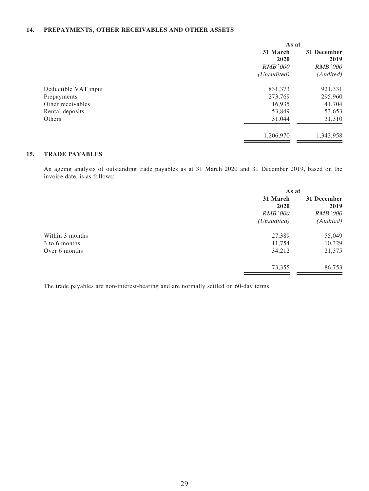#### **14. PREPAYMENTS, OTHER RECEIVABLES AND OTHER ASSETS**

| As at       |                |
|-------------|----------------|
| 31 March    | 31 December    |
| 2020        | 2019           |
| RMB'000     | <b>RMB'000</b> |
| (Unaudited) | (Audited)      |
| 831,373     | 921,331        |
| 273,769     | 295,960        |
| 16,935      | 41,704         |
| 53,849      | 53,653         |
| 31,044      | 31,310         |
| 1,206,970   | 1,343,958      |
|             |                |

## **15. TRADE PAYABLES**

An ageing analysis of outstanding trade payables as at 31 March 2020 and 31 December 2019, based on the invoice date, is as follows:

| As at          |                |
|----------------|----------------|
| 31 March       | 31 December    |
| 2020           | 2019           |
| <b>RMB'000</b> | <b>RMB'000</b> |
| (Unaudited)    | (Audited)      |
| 27,389         | 55,049         |
| 11,754         | 10,329         |
| 34,212         | 21,375         |
| 73,355         | 86,753         |
|                |                |

The trade payables are non-interest-bearing and are normally settled on 60-day terms.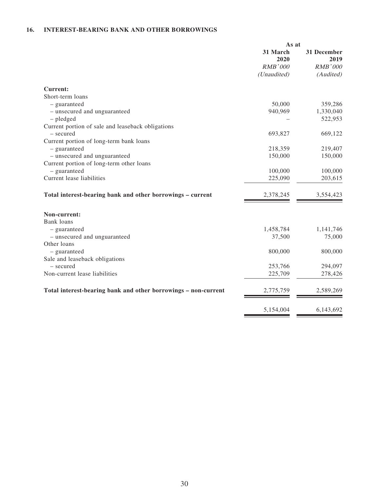## **16. INTEREST-BEARING BANK AND OTHER BORROWINGS**

|                                                                | As at            |                     |
|----------------------------------------------------------------|------------------|---------------------|
|                                                                | 31 March<br>2020 | 31 December<br>2019 |
|                                                                | <b>RMB'000</b>   | <b>RMB'000</b>      |
|                                                                | (Unaudited)      | (Audited)           |
| <b>Current:</b>                                                |                  |                     |
| Short-term loans                                               |                  |                     |
| - guaranteed                                                   | 50,000           | 359,286             |
| - unsecured and unguaranteed                                   | 940,969          | 1,330,040           |
| $-$ pledged                                                    |                  | 522,953             |
| Current portion of sale and leaseback obligations              |                  |                     |
| - secured                                                      | 693,827          | 669,122             |
| Current portion of long-term bank loans                        |                  |                     |
| - guaranteed                                                   | 218,359          | 219,407             |
| - unsecured and unguaranteed                                   | 150,000          | 150,000             |
| Current portion of long-term other loans                       |                  |                     |
| - guaranteed                                                   | 100,000          | 100,000             |
| Current lease liabilities                                      | 225,090          | 203,615             |
| Total interest-bearing bank and other borrowings - current     | 2,378,245        | 3,554,423           |
| Non-current:                                                   |                  |                     |
| Bank loans<br>- guaranteed                                     | 1,458,784        | 1,141,746           |
| - unsecured and unguaranteed                                   | 37,500           | 75,000              |
| Other loans                                                    |                  |                     |
| - guaranteed                                                   | 800,000          | 800,000             |
| Sale and leaseback obligations                                 |                  |                     |
| - secured                                                      | 253,766          | 294,097             |
| Non-current lease liabilities                                  | 225,709          | 278,426             |
|                                                                |                  |                     |
| Total interest-bearing bank and other borrowings - non-current | 2,775,759        | 2,589,269           |
|                                                                | 5,154,004        | 6,143,692           |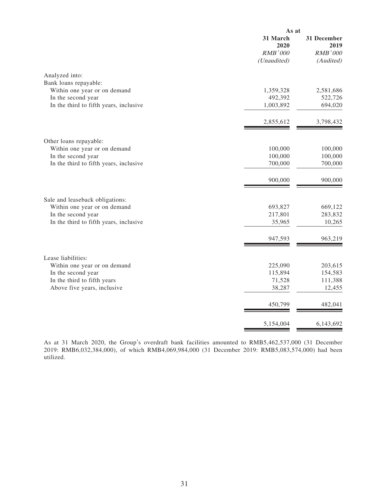|                                        | As at                                             |                                                    |
|----------------------------------------|---------------------------------------------------|----------------------------------------------------|
|                                        | 31 March<br>2020<br><b>RMB'000</b><br>(Unaudited) | 31 December<br>2019<br><b>RMB'000</b><br>(Audited) |
| Analyzed into:                         |                                                   |                                                    |
| Bank loans repayable:                  |                                                   |                                                    |
| Within one year or on demand           | 1,359,328                                         | 2,581,686                                          |
| In the second year                     | 492,392                                           | 522,726                                            |
| In the third to fifth years, inclusive | 1,003,892                                         | 694,020                                            |
|                                        | 2,855,612                                         | 3,798,432                                          |
| Other loans repayable:                 |                                                   |                                                    |
| Within one year or on demand           | 100,000                                           | 100,000                                            |
| In the second year                     | 100,000                                           | 100,000                                            |
| In the third to fifth years, inclusive | 700,000                                           | 700,000                                            |
|                                        | 900,000                                           | 900,000                                            |
| Sale and leaseback obligations:        |                                                   |                                                    |
| Within one year or on demand           | 693,827                                           | 669,122                                            |
| In the second year                     | 217,801                                           | 283,832                                            |
| In the third to fifth years, inclusive | 35,965                                            | 10,265                                             |
|                                        | 947,593                                           | 963,219                                            |
| Lease liabilities:                     |                                                   |                                                    |
| Within one year or on demand           | 225,090                                           | 203,615                                            |
| In the second year                     | 115,894                                           | 154,583                                            |
| In the third to fifth years            | 71,528                                            | 111,388                                            |
| Above five years, inclusive            | 38,287                                            | 12,455                                             |
|                                        | 450,799                                           | 482,041                                            |
|                                        | 5,154,004                                         | 6,143,692                                          |
|                                        |                                                   |                                                    |

As at 31 March 2020, the Group's overdraft bank facilities amounted to RMB5,462,537,000 (31 December 2019: RMB6,032,384,000), of which RMB4,069,984,000 (31 December 2019: RMB5,083,574,000) had been utilized.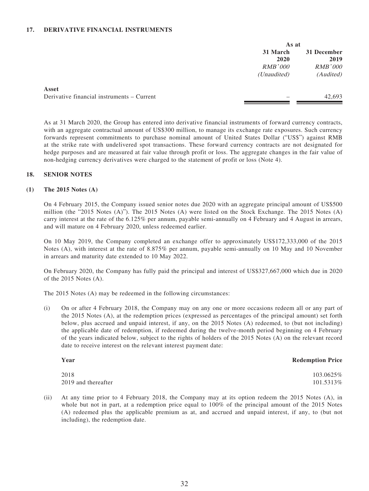#### **17. DERIVATIVE FINANCIAL INSTRUMENTS**

|                                            | As at            |                     |
|--------------------------------------------|------------------|---------------------|
|                                            | 31 March<br>2020 | 31 December<br>2019 |
|                                            | <i>RMB'000</i>   | <b>RMB'000</b>      |
|                                            | (Unaudited)      | (Audited)           |
| Asset                                      |                  |                     |
| Derivative financial instruments – Current |                  | 42,693              |
|                                            |                  |                     |

As at 31 March 2020, the Group has entered into derivative financial instruments of forward currency contracts, with an aggregate contractual amount of US\$300 million, to manage its exchange rate exposures. Such currency forwards represent commitments to purchase nominal amount of United States Dollar ("US\$") against RMB at the strike rate with undelivered spot transactions. These forward currency contracts are not designated for hedge purposes and are measured at fair value through profit or loss. The aggregate changes in the fair value of non-hedging currency derivatives were charged to the statement of profit or loss (Note 4).

#### **18. SENIOR NOTES**

#### **(1) The 2015 Notes (A)**

On 4 February 2015, the Company issued senior notes due 2020 with an aggregate principal amount of US\$500 million (the "2015 Notes (A)"). The 2015 Notes (A) were listed on the Stock Exchange. The 2015 Notes (A) carry interest at the rate of the 6.125% per annum, payable semi-annually on 4 February and 4 August in arrears, and will mature on 4 February 2020, unless redeemed earlier.

On 10 May 2019, the Company completed an exchange offer to approximately US\$172,333,000 of the 2015 Notes (A), with interest at the rate of 8.875% per annum, payable semi-annually on 10 May and 10 November in arrears and maturity date extended to 10 May 2022.

On February 2020, the Company has fully paid the principal and interest of US\$327,667,000 which due in 2020 of the 2015 Notes (A).

The 2015 Notes (A) may be redeemed in the following circumstances:

(i) On or after 4 February 2018, the Company may on any one or more occasions redeem all or any part of the 2015 Notes (A), at the redemption prices (expressed as percentages of the principal amount) set forth below, plus accrued and unpaid interest, if any, on the 2015 Notes (A) redeemed, to (but not including) the applicable date of redemption, if redeemed during the twelve-month period beginning on 4 February of the years indicated below, subject to the rights of holders of the 2015 Notes (A) on the relevant record date to receive interest on the relevant interest payment date:

| Year                | <b>Redemption Price</b> |
|---------------------|-------------------------|
| 2018                | 103.0625\%              |
| 2019 and thereafter | 101.5313\%              |

(ii) At any time prior to 4 February 2018, the Company may at its option redeem the 2015 Notes (A), in whole but not in part, at a redemption price equal to  $100\%$  of the principal amount of the 2015 Notes (A) redeemed plus the applicable premium as at, and accrued and unpaid interest, if any, to (but not including), the redemption date.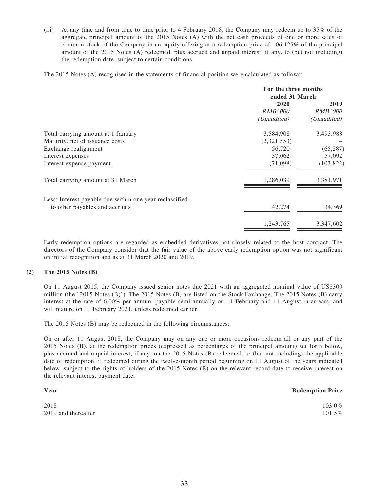(iii) At any time and from time to time prior to 4 February 2018, the Company may redeem up to 35% of the aggregate principal amount of the 2015 Notes (A) with the net cash proceeds of one or more sales of common stock of the Company in an equity offering at a redemption price of 106.125% of the principal amount of the 2015 Notes (A) redeemed, plus accrued and unpaid interest, if any, to (but not including) the redemption date, subject to certain conditions.

The 2015 Notes (A) recognised in the statements of financial position were calculated as follows:

| For the three months |             |
|----------------------|-------------|
| ended 31 March       |             |
| 2020<br>2019         |             |
| RMB'000              | RMB'000     |
| (Unaudited)          | (Unaudited) |
| 3,584,908            | 3,493,988   |
| (2,321,553)          |             |
| 56,720               | (65, 287)   |
| 37,062               | 57,092      |
| (71,098)             | (103, 822)  |
| 1,286,039            | 3,381,971   |
|                      |             |
| 42,274               | 34,369      |
| 1,243,765            | 3,347,602   |
|                      |             |

Early redemption options are regarded as embedded derivatives not closely related to the host contract. The directors of the Company consider that the fair value of the above early redemption option was not significant on initial recognition and as at 31 March 2020 and 2019.

## **(2) The 2015 Notes (B)**

On 11 August 2015, the Company issued senior notes due 2021 with an aggregated nominal value of US\$300 million (the "2015 Notes (B)"). The 2015 Notes (B) are listed on the Stock Exchange. The 2015 Notes (B) carry interest at the rate of 6.00% per annum, payable semi-annually on 11 February and 11 August in arrears, and will mature on 11 February 2021, unless redeemed earlier.

The 2015 Notes (B) may be redeemed in the following circumstances:

On or after 11 August 2018, the Company may on any one or more occasions redeem all or any part of the 2015 Notes (B), at the redemption prices (expressed as percentages of the principal amount) set forth below, plus accrued and unpaid interest, if any, on the 2015 Notes (B) redeemed, to (but not including) the applicable date of redemption, if redeemed during the twelve-month period beginning on 11 August of the years indicated below, subject to the rights of holders of the 2015 Notes (B) on the relevant record date to receive interest on the relevant interest payment date:

| Year                | <b>Redemption Price</b> |
|---------------------|-------------------------|
| 2018                | 103.0%                  |
| 2019 and thereafter | 101.5%                  |
|                     |                         |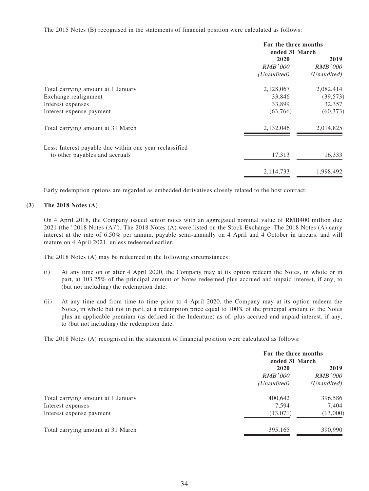The 2015 Notes (B) recognised in the statements of financial position were calculated as follows:

|                                                         | For the three months<br>ended 31 March |                |
|---------------------------------------------------------|----------------------------------------|----------------|
|                                                         | 2020                                   | 2019           |
|                                                         | RMB'000                                | <i>RMB'000</i> |
|                                                         | (Unaudited)                            | (Unaudited)    |
| Total carrying amount at 1 January                      | 2,128,067                              | 2,082,414      |
| Exchange realignment                                    | 33,846                                 | (39, 573)      |
| Interest expenses                                       | 33,899                                 | 32,357         |
| Interest expense payment                                | (63,766)                               | (60, 373)      |
| Total carrying amount at 31 March                       | 2,132,046                              | 2,014,825      |
| Less: Interest payable due within one year reclassified |                                        |                |
| to other payables and accruals                          | 17,313                                 | 16,333         |
|                                                         | 2,114,733                              | 1,998,492      |

Early redemption options are regarded as embedded derivatives closely related to the host contract.

#### **(3) The 2018 Notes (A)**

On 4 April 2018, the Company issued senior notes with an aggregated nominal value of RMB400 million due 2021 (the "2018 Notes (A)"). The 2018 Notes (A) were listed on the Stock Exchange. The 2018 Notes (A) carry interest at the rate of 6.50% per annum, payable semi-annually on 4 April and 4 October in arrears, and will mature on 4 April 2021, unless redeemed earlier.

The 2018 Notes (A) may be redeemed in the following circumstances:

- (i) At any time on or after 4 April 2020, the Company may at its option redeem the Notes, in whole or in part, at 103.25% of the principal amount of Notes redeemed plus accrued and unpaid interest, if any, to (but not including) the redemption date.
- (ii) At any time and from time to time prior to 4 April 2020, the Company may at its option redeem the Notes, in whole but not in part, at a redemption price equal to 100% of the principal amount of the Notes plus an applicable premium (as defined in the Indenture) as of, plus accrued and unpaid interest, if any, to (but not including) the redemption date.

The 2018 Notes (A) recognised in the statement of financial position were calculated as follows:

|                                    | For the three months<br>ended 31 March |                      |
|------------------------------------|----------------------------------------|----------------------|
|                                    | 2020<br>RMB'000                        | 2019<br>RMB'000      |
|                                    | (Unaudited)                            | ( <i>Unaudited</i> ) |
| Total carrying amount at 1 January | 400,642                                | 396,586              |
| Interest expenses                  | 7.594                                  | 7,404                |
| Interest expense payment           | (13,071)                               | (13,000)             |
| Total carrying amount at 31 March  | 395,165                                | 390,990              |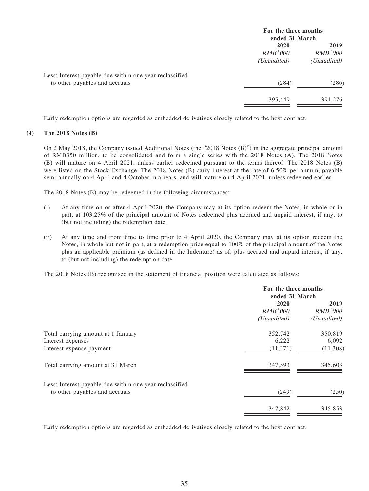|                                                         |                      | For the three months<br>ended 31 March |  |
|---------------------------------------------------------|----------------------|----------------------------------------|--|
|                                                         | 2020                 | 2019                                   |  |
|                                                         | RMB'000              | <i>RMB'000</i>                         |  |
|                                                         | ( <i>Unaudited</i> ) | ( <i>Unaudited</i> )                   |  |
| Less: Interest payable due within one year reclassified |                      |                                        |  |
| to other payables and accruals                          | (284)                | (286)                                  |  |
|                                                         | 395,449              | 391,276                                |  |

Early redemption options are regarded as embedded derivatives closely related to the host contract.

#### **(4) The 2018 Notes (B)**

On 2 May 2018, the Company issued Additional Notes (the "2018 Notes (B)") in the aggregate principal amount of RMB350 million, to be consolidated and form a single series with the 2018 Notes (A). The 2018 Notes (B) will mature on 4 April 2021, unless earlier redeemed pursuant to the terms thereof. The 2018 Notes (B) were listed on the Stock Exchange. The 2018 Notes (B) carry interest at the rate of 6.50% per annum, payable semi-annually on 4 April and 4 October in arrears, and will mature on 4 April 2021, unless redeemed earlier.

The 2018 Notes (B) may be redeemed in the following circumstances:

- (i) At any time on or after 4 April 2020, the Company may at its option redeem the Notes, in whole or in part, at 103.25% of the principal amount of Notes redeemed plus accrued and unpaid interest, if any, to (but not including) the redemption date.
- (ii) At any time and from time to time prior to 4 April 2020, the Company may at its option redeem the Notes, in whole but not in part, at a redemption price equal to 100% of the principal amount of the Notes plus an applicable premium (as defined in the Indenture) as of, plus accrued and unpaid interest, if any, to (but not including) the redemption date.

The 2018 Notes (B) recognised in the statement of financial position were calculated as follows:

|                                                         | For the three months<br>ended 31 March |                                |
|---------------------------------------------------------|----------------------------------------|--------------------------------|
|                                                         | 2020<br>RMB'000<br>(Unaudited)         | 2019<br>RMB'000<br>(Unaudited) |
| Total carrying amount at 1 January                      | 352,742                                | 350,819                        |
| Interest expenses                                       | 6,222                                  | 6,092                          |
| Interest expense payment                                | (11,371)                               | (11,308)                       |
| Total carrying amount at 31 March                       | 347,593                                | 345,603                        |
| Less: Interest payable due within one year reclassified |                                        |                                |
| to other payables and accruals                          | (249)                                  | (250)                          |
|                                                         | 347,842                                | 345,853                        |

Early redemption options are regarded as embedded derivatives closely related to the host contract.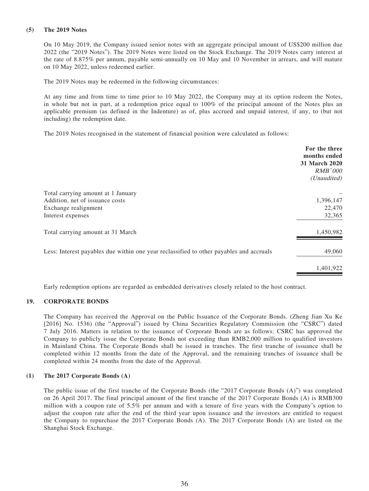#### **(5) The 2019 Notes**

On 10 May 2019, the Company issued senior notes with an aggregate principal amount of US\$200 million due 2022 (the "2019 Notes"). The 2019 Notes were listed on the Stock Exchange. The 2019 Notes carry interest at the rate of 8.875% per annum, payable semi-annually on 10 May and 10 November in arrears, and will mature on 10 May 2022, unless redeemed earlier.

The 2019 Notes may be redeemed in the following circumstances:

At any time and from time to time prior to 10 May 2022, the Company may at its option redeem the Notes, in whole but not in part, at a redemption price equal to 100% of the principal amount of the Notes plus an applicable premium (as defined in the Indenture) as of, plus accrued and unpaid interest, if any, to (but not including) the redemption date.

The 2019 Notes recognised in the statement of financial position were calculated as follows:

|                                                                                         | For the three<br>months ended<br>31 March 2020<br><i>RMB'000</i><br>(Unaudited) |
|-----------------------------------------------------------------------------------------|---------------------------------------------------------------------------------|
| Total carrying amount at 1 January                                                      |                                                                                 |
| Addition, net of issuance costs                                                         | 1,396,147                                                                       |
| Exchange realignment                                                                    | 22,470                                                                          |
| Interest expenses                                                                       | 32,365                                                                          |
| Total carrying amount at 31 March                                                       | 1,450,982                                                                       |
| Less: Interest payables due within one year reclassified to other payables and accruals | 49,060                                                                          |
|                                                                                         | 1,401,922                                                                       |
|                                                                                         |                                                                                 |

Early redemption options are regarded as embedded derivatives closely related to the host contract.

## **19. CORPORATE BONDS**

The Company has received the Approval on the Public Issuance of the Corporate Bonds. (Zheng Jian Xu Ke [2016] No. 1536) (the "Approval") issued by China Securities Regulatory Commission (the "CSRC") dated 7 July 2016. Matters in relation to the issuance of Corporate Bonds are as follows: CSRC has approved the Company to publicly issue the Corporate Bonds not exceeding than RMB2,000 million to qualified investors in Mainland China. The Corporate Bonds shall be issued in tranches. The first tranche of issuance shall be completed within 12 months from the date of the Approval, and the remaining tranches of issuance shall be completed within 24 months from the date of the Approval.

#### **(1) The 2017 Corporate Bonds (A)**

The public issue of the first tranche of the Corporate Bonds (the "2017 Corporate Bonds (A)") was completed on 26 April 2017. The final principal amount of the first tranche of the 2017 Corporate Bonds (A) is RMB300 million with a coupon rate of 5.5% per annum and with a tenure of five years with the Company's option to adjust the coupon rate after the end of the third year upon issuance and the investors are entitled to request the Company to repurchase the 2017 Corporate Bonds (A). The 2017 Corporate Bonds (A) are listed on the Shanghai Stock Exchange.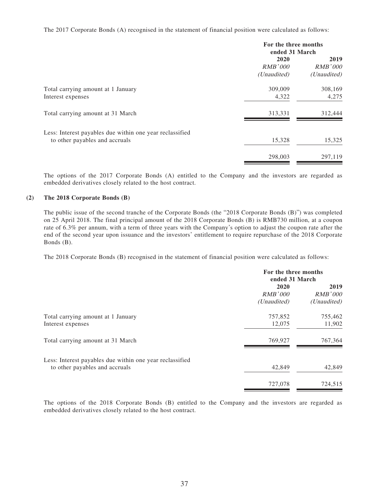The 2017 Corporate Bonds (A) recognised in the statement of financial position were calculated as follows:

|                                                                                            | For the three months<br>ended 31 March |                                       |
|--------------------------------------------------------------------------------------------|----------------------------------------|---------------------------------------|
|                                                                                            | 2020<br><i>RMB'000</i><br>(Unaudited)  | 2019<br><i>RMB'000</i><br>(Unaudited) |
| Total carrying amount at 1 January<br>Interest expenses                                    | 309,009<br>4,322                       | 308,169<br>4,275                      |
| Total carrying amount at 31 March                                                          | 313,331                                | 312,444                               |
| Less: Interest payables due within one year reclassified<br>to other payables and accruals | 15,328                                 | 15,325                                |
|                                                                                            | 298,003                                | 297,119                               |

The options of the 2017 Corporate Bonds (A) entitled to the Company and the investors are regarded as embedded derivatives closely related to the host contract.

#### **(2) The 2018 Corporate Bonds (B)**

The public issue of the second tranche of the Corporate Bonds (the "2018 Corporate Bonds (B)") was completed on 25 April 2018. The final principal amount of the 2018 Corporate Bonds (B) is RMB730 million, at a coupon rate of 6.3% per annum, with a term of three years with the Company's option to adjust the coupon rate after the end of the second year upon issuance and the investors' entitlement to require repurchase of the 2018 Corporate Bonds (B).

The 2018 Corporate Bonds (B) recognised in the statement of financial position were calculated as follows:

|                                                                                            | For the three months<br>ended 31 March |                                |
|--------------------------------------------------------------------------------------------|----------------------------------------|--------------------------------|
|                                                                                            | 2020<br>RMB'000<br>(Unaudited)         | 2019<br>RMB'000<br>(Unaudited) |
| Total carrying amount at 1 January<br>Interest expenses                                    | 757,852<br>12,075                      | 755,462<br>11,902              |
| Total carrying amount at 31 March                                                          | 769,927                                | 767,364                        |
| Less: Interest payables due within one year reclassified<br>to other payables and accruals | 42,849                                 | 42,849                         |
|                                                                                            | 727,078                                | 724,515                        |

The options of the 2018 Corporate Bonds (B) entitled to the Company and the investors are regarded as embedded derivatives closely related to the host contract.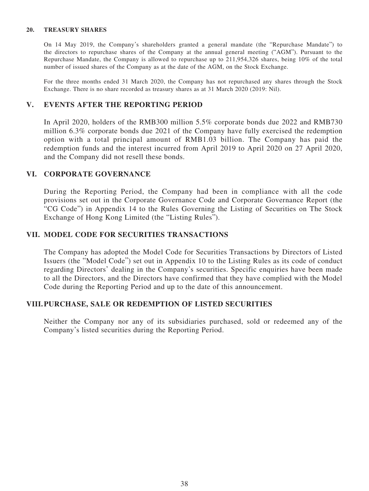## **20. TREASURY SHARES**

On 14 May 2019, the Company's shareholders granted a general mandate (the "Repurchase Mandate") to the directors to repurchase shares of the Company at the annual general meeting ("AGM"). Pursuant to the Repurchase Mandate, the Company is allowed to repurchase up to 211,954,326 shares, being 10% of the total number of issued shares of the Company as at the date of the AGM, on the Stock Exchange.

For the three months ended 31 March 2020, the Company has not repurchased any shares through the Stock Exchange. There is no share recorded as treasury shares as at 31 March 2020 (2019: Nil).

## **V. EVENTS AFTER THE REPORTING PERIOD**

In April 2020, holders of the RMB300 million 5.5% corporate bonds due 2022 and RMB730 million 6.3% corporate bonds due 2021 of the Company have fully exercised the redemption option with a total principal amount of RMB1.03 billion. The Company has paid the redemption funds and the interest incurred from April 2019 to April 2020 on 27 April 2020, and the Company did not resell these bonds.

## **VI. CORPORATE GOVERNANCE**

During the Reporting Period, the Company had been in compliance with all the code provisions set out in the Corporate Governance Code and Corporate Governance Report (the "CG Code") in Appendix 14 to the Rules Governing the Listing of Securities on The Stock Exchange of Hong Kong Limited (the "Listing Rules").

## **VII. MODEL CODE FOR SECURITIES TRANSACTIONS**

The Company has adopted the Model Code for Securities Transactions by Directors of Listed Issuers (the "Model Code") set out in Appendix 10 to the Listing Rules as its code of conduct regarding Directors' dealing in the Company's securities. Specific enquiries have been made to all the Directors, and the Directors have confirmed that they have complied with the Model Code during the Reporting Period and up to the date of this announcement.

## **VIII. PURCHASE, SALE OR REDEMPTION OF LISTED SECURITIES**

Neither the Company nor any of its subsidiaries purchased, sold or redeemed any of the Company's listed securities during the Reporting Period.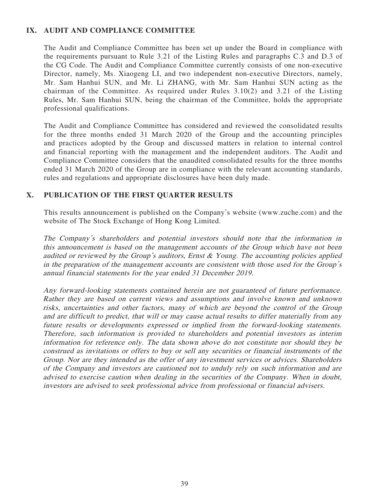# **IX. AUDIT AND COMPLIANCE COMMITTEE**

The Audit and Compliance Committee has been set up under the Board in compliance with the requirements pursuant to Rule 3.21 of the Listing Rules and paragraphs C.3 and D.3 of the CG Code. The Audit and Compliance Committee currently consists of one non-executive Director, namely, Ms. Xiaogeng LI, and two independent non-executive Directors, namely, Mr. Sam Hanhui SUN, and Mr. Li ZHANG, with Mr. Sam Hanhui SUN acting as the chairman of the Committee. As required under Rules 3.10(2) and 3.21 of the Listing Rules, Mr. Sam Hanhui SUN, being the chairman of the Committee, holds the appropriate professional qualifications.

The Audit and Compliance Committee has considered and reviewed the consolidated results for the three months ended 31 March 2020 of the Group and the accounting principles and practices adopted by the Group and discussed matters in relation to internal control and financial reporting with the management and the independent auditors. The Audit and Compliance Committee considers that the unaudited consolidated results for the three months ended 31 March 2020 of the Group are in compliance with the relevant accounting standards, rules and regulations and appropriate disclosures have been duly made.

## **X. PUBLICATION OF THE FIRST QUARTER RESULTS**

This results announcement is published on the Company's website (www.zuche.com) and the website of The Stock Exchange of Hong Kong Limited.

The Company's shareholders and potential investors should note that the information in this announcement is based on the management accounts of the Group which have not been audited or reviewed by the Group's auditors, Ernst & Young. The accounting policies applied in the preparation of the management accounts are consistent with those used for the Group's annual financial statements for the year ended 31 December 2019.

Any forward-looking statements contained herein are not guaranteed of future performance. Rather they are based on current views and assumptions and involve known and unknown risks, uncertainties and other factors, many of which are beyond the control of the Group and are difficult to predict, that will or may cause actual results to differ materially from any future results or developments expressed or implied from the forward-looking statements. Therefore, such information is provided to shareholders and potential investors as interim information for reference only. The data shown above do not constitute nor should they be construed as invitations or offers to buy or sell any securities or financial instruments of the Group. Nor are they intended as the offer of any investment services or advices. Shareholders of the Company and investors are cautioned not to unduly rely on such information and are advised to exercise caution when dealing in the securities of the Company. When in doubt, investors are advised to seek professional advice from professional or financial advisers.